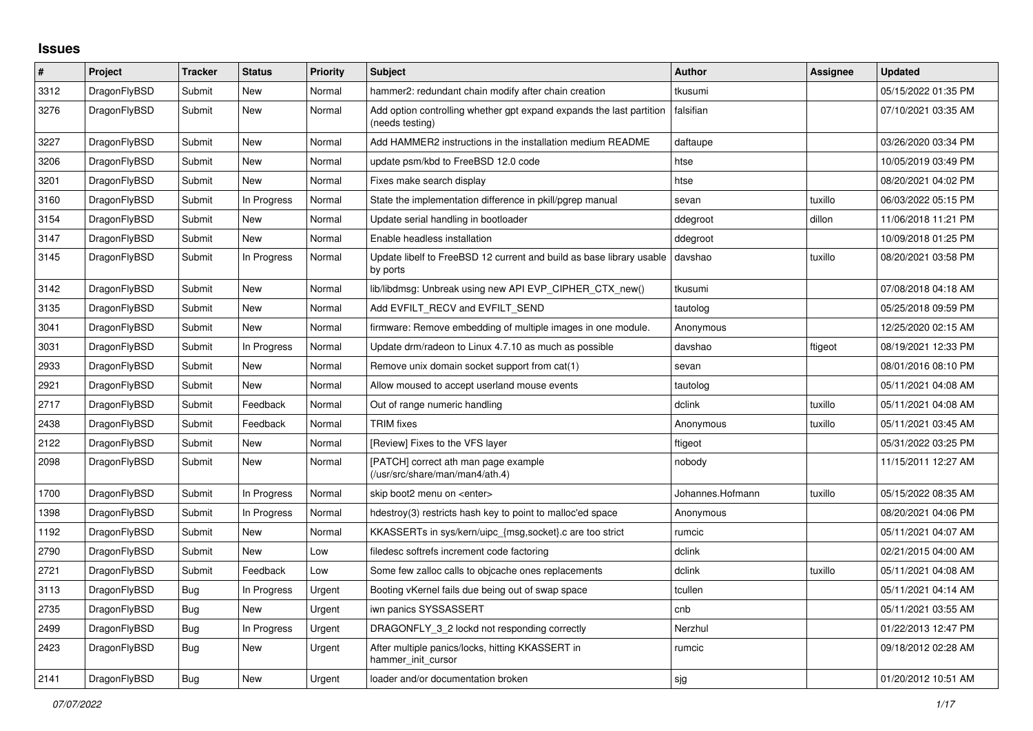## **Issues**

| ∦    | Project      | <b>Tracker</b> | <b>Status</b> | <b>Priority</b> | <b>Subject</b>                                                                          | <b>Author</b>    | Assignee | <b>Updated</b>      |
|------|--------------|----------------|---------------|-----------------|-----------------------------------------------------------------------------------------|------------------|----------|---------------------|
| 3312 | DragonFlyBSD | Submit         | <b>New</b>    | Normal          | hammer2: redundant chain modify after chain creation                                    | tkusumi          |          | 05/15/2022 01:35 PM |
| 3276 | DragonFlyBSD | Submit         | New           | Normal          | Add option controlling whether gpt expand expands the last partition<br>(needs testing) | falsifian        |          | 07/10/2021 03:35 AM |
| 3227 | DragonFlyBSD | Submit         | <b>New</b>    | Normal          | Add HAMMER2 instructions in the installation medium README                              | daftaupe         |          | 03/26/2020 03:34 PM |
| 3206 | DragonFlyBSD | Submit         | <b>New</b>    | Normal          | update psm/kbd to FreeBSD 12.0 code                                                     | htse             |          | 10/05/2019 03:49 PM |
| 3201 | DragonFlyBSD | Submit         | <b>New</b>    | Normal          | Fixes make search display                                                               | htse             |          | 08/20/2021 04:02 PM |
| 3160 | DragonFlyBSD | Submit         | In Progress   | Normal          | State the implementation difference in pkill/pgrep manual                               | sevan            | tuxillo  | 06/03/2022 05:15 PM |
| 3154 | DragonFlyBSD | Submit         | <b>New</b>    | Normal          | Update serial handling in bootloader                                                    | ddegroot         | dillon   | 11/06/2018 11:21 PM |
| 3147 | DragonFlyBSD | Submit         | <b>New</b>    | Normal          | Enable headless installation                                                            | ddegroot         |          | 10/09/2018 01:25 PM |
| 3145 | DragonFlyBSD | Submit         | In Progress   | Normal          | Update libelf to FreeBSD 12 current and build as base library usable<br>by ports        | davshao          | tuxillo  | 08/20/2021 03:58 PM |
| 3142 | DragonFlyBSD | Submit         | New           | Normal          | lib/libdmsg: Unbreak using new API EVP CIPHER CTX new()                                 | tkusumi          |          | 07/08/2018 04:18 AM |
| 3135 | DragonFlyBSD | Submit         | <b>New</b>    | Normal          | Add EVFILT RECV and EVFILT SEND                                                         | tautolog         |          | 05/25/2018 09:59 PM |
| 3041 | DragonFlyBSD | Submit         | New           | Normal          | firmware: Remove embedding of multiple images in one module.                            | Anonymous        |          | 12/25/2020 02:15 AM |
| 3031 | DragonFlyBSD | Submit         | In Progress   | Normal          | Update drm/radeon to Linux 4.7.10 as much as possible                                   | davshao          | ftigeot  | 08/19/2021 12:33 PM |
| 2933 | DragonFlyBSD | Submit         | <b>New</b>    | Normal          | Remove unix domain socket support from cat(1)                                           | sevan            |          | 08/01/2016 08:10 PM |
| 2921 | DragonFlyBSD | Submit         | <b>New</b>    | Normal          | Allow moused to accept userland mouse events                                            | tautolog         |          | 05/11/2021 04:08 AM |
| 2717 | DragonFlyBSD | Submit         | Feedback      | Normal          | Out of range numeric handling                                                           | dclink           | tuxillo  | 05/11/2021 04:08 AM |
| 2438 | DragonFlyBSD | Submit         | Feedback      | Normal          | <b>TRIM</b> fixes                                                                       | Anonymous        | tuxillo  | 05/11/2021 03:45 AM |
| 2122 | DragonFlyBSD | Submit         | <b>New</b>    | Normal          | [Review] Fixes to the VFS layer                                                         | ftigeot          |          | 05/31/2022 03:25 PM |
| 2098 | DragonFlyBSD | Submit         | New           | Normal          | [PATCH] correct ath man page example<br>(/usr/src/share/man/man4/ath.4)                 | nobody           |          | 11/15/2011 12:27 AM |
| 1700 | DragonFlyBSD | Submit         | In Progress   | Normal          | skip boot2 menu on <enter></enter>                                                      | Johannes.Hofmann | tuxillo  | 05/15/2022 08:35 AM |
| 1398 | DragonFlyBSD | Submit         | In Progress   | Normal          | hdestroy(3) restricts hash key to point to malloc'ed space                              | Anonymous        |          | 08/20/2021 04:06 PM |
| 1192 | DragonFlyBSD | Submit         | <b>New</b>    | Normal          | KKASSERTs in sys/kern/uipc_{msg,socket}.c are too strict                                | rumcic           |          | 05/11/2021 04:07 AM |
| 2790 | DragonFlyBSD | Submit         | <b>New</b>    | Low             | filedesc softrefs increment code factoring                                              | dclink           |          | 02/21/2015 04:00 AM |
| 2721 | DragonFlyBSD | Submit         | Feedback      | Low             | Some few zalloc calls to objcache ones replacements                                     | dclink           | tuxillo  | 05/11/2021 04:08 AM |
| 3113 | DragonFlyBSD | Bug            | In Progress   | Urgent          | Booting vKernel fails due being out of swap space                                       | tcullen          |          | 05/11/2021 04:14 AM |
| 2735 | DragonFlyBSD | Bug            | <b>New</b>    | Urgent          | iwn panics SYSSASSERT                                                                   | cnb              |          | 05/11/2021 03:55 AM |
| 2499 | DragonFlyBSD | <b>Bug</b>     | In Progress   | Urgent          | DRAGONFLY 3 2 lockd not responding correctly                                            | Nerzhul          |          | 01/22/2013 12:47 PM |
| 2423 | DragonFlyBSD | Bug            | New           | Urgent          | After multiple panics/locks, hitting KKASSERT in<br>hammer init cursor                  | rumcic           |          | 09/18/2012 02:28 AM |
| 2141 | DragonFlyBSD | Bug            | New           | Urgent          | loader and/or documentation broken                                                      | sjg              |          | 01/20/2012 10:51 AM |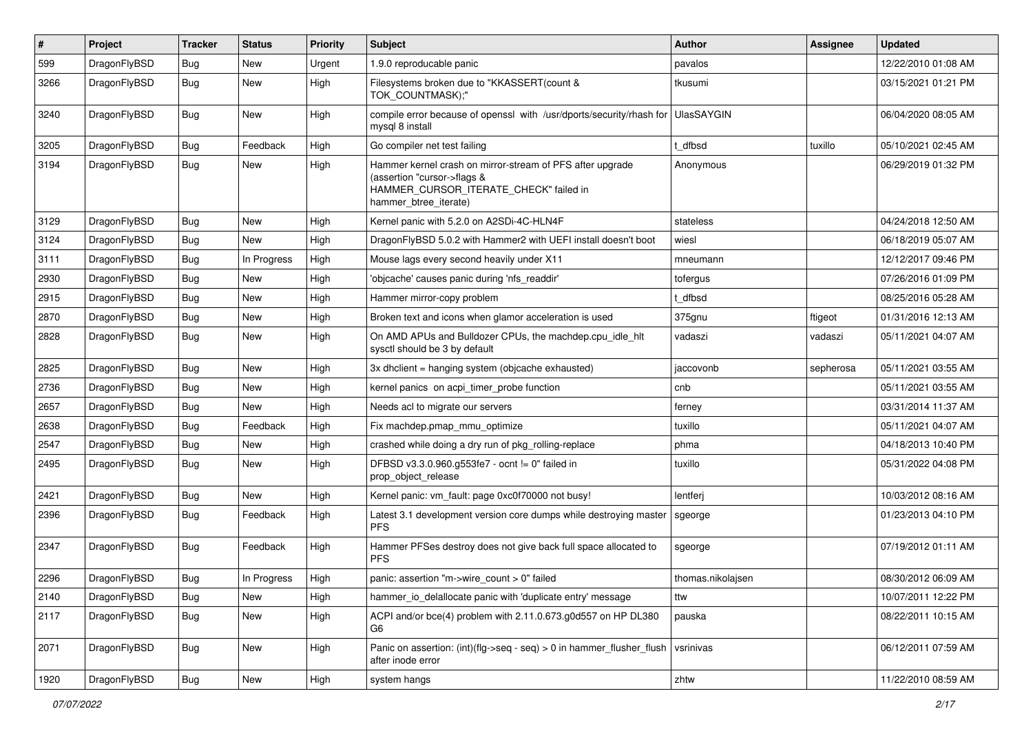| $\sharp$ | Project      | <b>Tracker</b> | <b>Status</b> | <b>Priority</b> | Subject                                                                                                                                                     | <b>Author</b>     | <b>Assignee</b> | <b>Updated</b>      |
|----------|--------------|----------------|---------------|-----------------|-------------------------------------------------------------------------------------------------------------------------------------------------------------|-------------------|-----------------|---------------------|
| 599      | DragonFlyBSD | Bug            | <b>New</b>    | Urgent          | 1.9.0 reproducable panic                                                                                                                                    | pavalos           |                 | 12/22/2010 01:08 AM |
| 3266     | DragonFlyBSD | <b>Bug</b>     | <b>New</b>    | High            | Filesystems broken due to "KKASSERT(count &<br>TOK COUNTMASK);"                                                                                             | tkusumi           |                 | 03/15/2021 01:21 PM |
| 3240     | DragonFlyBSD | Bug            | New           | High            | compile error because of openssl with /usr/dports/security/rhash for<br>mysql 8 install                                                                     | <b>UlasSAYGIN</b> |                 | 06/04/2020 08:05 AM |
| 3205     | DragonFlyBSD | Bug            | Feedback      | High            | Go compiler net test failing                                                                                                                                | t dfbsd           | tuxillo         | 05/10/2021 02:45 AM |
| 3194     | DragonFlyBSD | Bug            | New           | High            | Hammer kernel crash on mirror-stream of PFS after upgrade<br>(assertion "cursor->flags &<br>HAMMER_CURSOR_ITERATE_CHECK" failed in<br>hammer_btree_iterate) | Anonymous         |                 | 06/29/2019 01:32 PM |
| 3129     | DragonFlyBSD | Bug            | <b>New</b>    | High            | Kernel panic with 5.2.0 on A2SDi-4C-HLN4F                                                                                                                   | stateless         |                 | 04/24/2018 12:50 AM |
| 3124     | DragonFlyBSD | Bug            | New           | High            | DragonFlyBSD 5.0.2 with Hammer2 with UEFI install doesn't boot                                                                                              | wiesl             |                 | 06/18/2019 05:07 AM |
| 3111     | DragonFlyBSD | Bug            | In Progress   | High            | Mouse lags every second heavily under X11                                                                                                                   | mneumann          |                 | 12/12/2017 09:46 PM |
| 2930     | DragonFlyBSD | Bug            | New           | High            | 'objcache' causes panic during 'nfs_readdir'                                                                                                                | tofergus          |                 | 07/26/2016 01:09 PM |
| 2915     | DragonFlyBSD | Bug            | New           | High            | Hammer mirror-copy problem                                                                                                                                  | t dfbsd           |                 | 08/25/2016 05:28 AM |
| 2870     | DragonFlyBSD | Bug            | New           | High            | Broken text and icons when glamor acceleration is used                                                                                                      | 375gnu            | ftigeot         | 01/31/2016 12:13 AM |
| 2828     | DragonFlyBSD | Bug            | <b>New</b>    | High            | On AMD APUs and Bulldozer CPUs, the machdep.cpu_idle_hlt<br>sysctl should be 3 by default                                                                   | vadaszi           | vadaszi         | 05/11/2021 04:07 AM |
| 2825     | DragonFlyBSD | Bug            | New           | High            | 3x dhclient = hanging system (objcache exhausted)                                                                                                           | jaccovonb         | sepherosa       | 05/11/2021 03:55 AM |
| 2736     | DragonFlyBSD | Bug            | <b>New</b>    | High            | kernel panics on acpi_timer_probe function                                                                                                                  | cnb               |                 | 05/11/2021 03:55 AM |
| 2657     | DragonFlyBSD | Bug            | <b>New</b>    | High            | Needs acl to migrate our servers                                                                                                                            | ferney            |                 | 03/31/2014 11:37 AM |
| 2638     | DragonFlyBSD | Bug            | Feedback      | High            | Fix machdep.pmap_mmu_optimize                                                                                                                               | tuxillo           |                 | 05/11/2021 04:07 AM |
| 2547     | DragonFlyBSD | Bug            | New           | High            | crashed while doing a dry run of pkg_rolling-replace                                                                                                        | phma              |                 | 04/18/2013 10:40 PM |
| 2495     | DragonFlyBSD | Bug            | <b>New</b>    | High            | DFBSD v3.3.0.960.g553fe7 - ocnt != 0" failed in<br>prop_object_release                                                                                      | tuxillo           |                 | 05/31/2022 04:08 PM |
| 2421     | DragonFlyBSD | Bug            | New           | High            | Kernel panic: vm_fault: page 0xc0f70000 not busy!                                                                                                           | lentferj          |                 | 10/03/2012 08:16 AM |
| 2396     | DragonFlyBSD | <b>Bug</b>     | Feedback      | High            | Latest 3.1 development version core dumps while destroying master<br><b>PFS</b>                                                                             | sgeorge           |                 | 01/23/2013 04:10 PM |
| 2347     | DragonFlyBSD | <b>Bug</b>     | Feedback      | High            | Hammer PFSes destroy does not give back full space allocated to<br><b>PFS</b>                                                                               | sgeorge           |                 | 07/19/2012 01:11 AM |
| 2296     | DragonFlyBSD | Bug            | In Progress   | High            | panic: assertion "m->wire_count > 0" failed                                                                                                                 | thomas.nikolajsen |                 | 08/30/2012 06:09 AM |
| 2140     | DragonFlyBSD | <b>Bug</b>     | <b>New</b>    | High            | hammer_io_delallocate panic with 'duplicate entry' message                                                                                                  | ttw               |                 | 10/07/2011 12:22 PM |
| 2117     | DragonFlyBSD | Bug            | <b>New</b>    | High            | ACPI and/or bce(4) problem with 2.11.0.673.g0d557 on HP DL380<br>G6                                                                                         | pauska            |                 | 08/22/2011 10:15 AM |
| 2071     | DragonFlyBSD | <b>Bug</b>     | New           | High            | Panic on assertion: (int)(flg->seq - seq) > 0 in hammer_flusher_flush<br>after inode error                                                                  | vsrinivas         |                 | 06/12/2011 07:59 AM |
| 1920     | DragonFlyBSD | Bug            | New           | High            | system hangs                                                                                                                                                | zhtw              |                 | 11/22/2010 08:59 AM |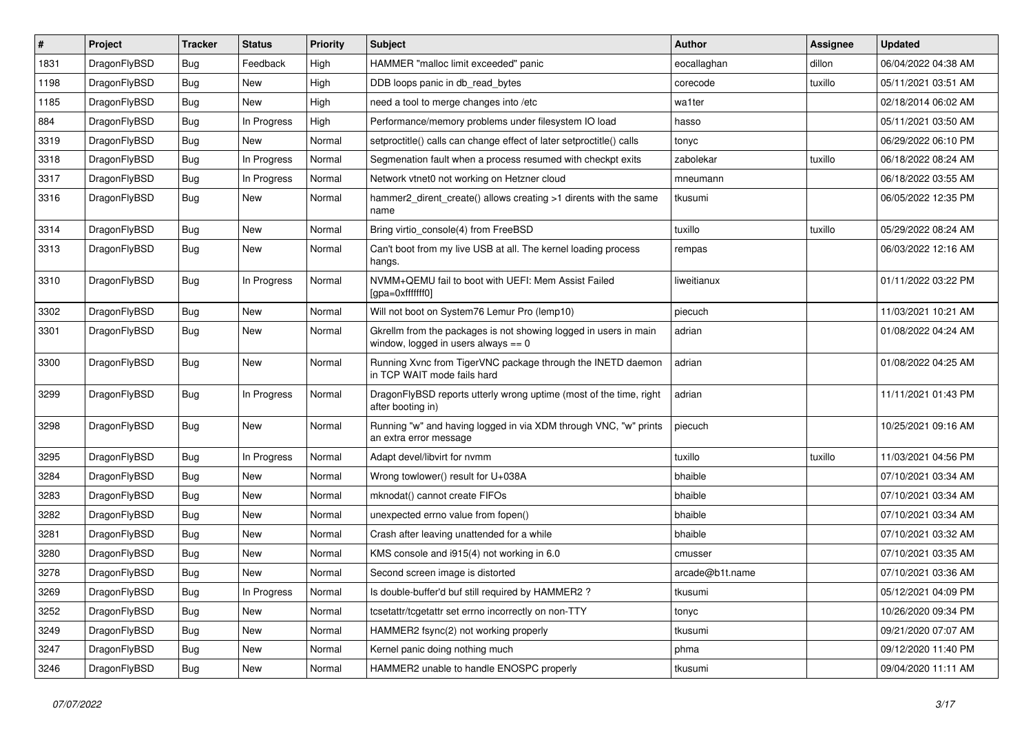| $\vert$ # | Project      | <b>Tracker</b> | <b>Status</b> | <b>Priority</b> | Subject                                                                                                   | <b>Author</b>   | <b>Assignee</b> | <b>Updated</b>      |
|-----------|--------------|----------------|---------------|-----------------|-----------------------------------------------------------------------------------------------------------|-----------------|-----------------|---------------------|
| 1831      | DragonFlyBSD | Bug            | Feedback      | High            | HAMMER "malloc limit exceeded" panic                                                                      | eocallaghan     | dillon          | 06/04/2022 04:38 AM |
| 1198      | DragonFlyBSD | Bug            | <b>New</b>    | High            | DDB loops panic in db_read_bytes                                                                          | corecode        | tuxillo         | 05/11/2021 03:51 AM |
| 1185      | DragonFlyBSD | <b>Bug</b>     | New           | High            | need a tool to merge changes into /etc                                                                    | wa1ter          |                 | 02/18/2014 06:02 AM |
| 884       | DragonFlyBSD | Bug            | In Progress   | High            | Performance/memory problems under filesystem IO load                                                      | hasso           |                 | 05/11/2021 03:50 AM |
| 3319      | DragonFlyBSD | <b>Bug</b>     | <b>New</b>    | Normal          | setproctitle() calls can change effect of later setproctitle() calls                                      | tonyc           |                 | 06/29/2022 06:10 PM |
| 3318      | DragonFlyBSD | <b>Bug</b>     | In Progress   | Normal          | Segmenation fault when a process resumed with checkpt exits                                               | zabolekar       | tuxillo         | 06/18/2022 08:24 AM |
| 3317      | DragonFlyBSD | Bug            | In Progress   | Normal          | Network vtnet0 not working on Hetzner cloud                                                               | mneumann        |                 | 06/18/2022 03:55 AM |
| 3316      | DragonFlyBSD | Bug            | New           | Normal          | hammer2_dirent_create() allows creating >1 dirents with the same<br>name                                  | tkusumi         |                 | 06/05/2022 12:35 PM |
| 3314      | DragonFlyBSD | <b>Bug</b>     | New           | Normal          | Bring virtio_console(4) from FreeBSD                                                                      | tuxillo         | tuxillo         | 05/29/2022 08:24 AM |
| 3313      | DragonFlyBSD | Bug            | <b>New</b>    | Normal          | Can't boot from my live USB at all. The kernel loading process<br>hangs.                                  | rempas          |                 | 06/03/2022 12:16 AM |
| 3310      | DragonFlyBSD | <b>Bug</b>     | In Progress   | Normal          | NVMM+QEMU fail to boot with UEFI: Mem Assist Failed<br>[gpa=0xfffffff0]                                   | liweitianux     |                 | 01/11/2022 03:22 PM |
| 3302      | DragonFlyBSD | Bug            | <b>New</b>    | Normal          | Will not boot on System76 Lemur Pro (lemp10)                                                              | piecuch         |                 | 11/03/2021 10:21 AM |
| 3301      | DragonFlyBSD | Bug            | New           | Normal          | Gkrellm from the packages is not showing logged in users in main<br>window, logged in users always $== 0$ | adrian          |                 | 01/08/2022 04:24 AM |
| 3300      | DragonFlyBSD | Bug            | <b>New</b>    | Normal          | Running Xvnc from TigerVNC package through the INETD daemon<br>in TCP WAIT mode fails hard                | adrian          |                 | 01/08/2022 04:25 AM |
| 3299      | DragonFlyBSD | Bug            | In Progress   | Normal          | DragonFlyBSD reports utterly wrong uptime (most of the time, right<br>after booting in)                   | adrian          |                 | 11/11/2021 01:43 PM |
| 3298      | DragonFlyBSD | <b>Bug</b>     | <b>New</b>    | Normal          | Running "w" and having logged in via XDM through VNC, "w" prints<br>an extra error message                | piecuch         |                 | 10/25/2021 09:16 AM |
| 3295      | DragonFlyBSD | Bug            | In Progress   | Normal          | Adapt devel/libvirt for nvmm                                                                              | tuxillo         | tuxillo         | 11/03/2021 04:56 PM |
| 3284      | DragonFlyBSD | <b>Bug</b>     | New           | Normal          | Wrong towlower() result for U+038A                                                                        | bhaible         |                 | 07/10/2021 03:34 AM |
| 3283      | DragonFlyBSD | Bug            | <b>New</b>    | Normal          | mknodat() cannot create FIFOs                                                                             | bhaible         |                 | 07/10/2021 03:34 AM |
| 3282      | DragonFlyBSD | <b>Bug</b>     | <b>New</b>    | Normal          | unexpected errno value from fopen()                                                                       | bhaible         |                 | 07/10/2021 03:34 AM |
| 3281      | DragonFlyBSD | <b>Bug</b>     | New           | Normal          | Crash after leaving unattended for a while                                                                | bhaible         |                 | 07/10/2021 03:32 AM |
| 3280      | DragonFlyBSD | <b>Bug</b>     | <b>New</b>    | Normal          | KMS console and i915(4) not working in 6.0                                                                | cmusser         |                 | 07/10/2021 03:35 AM |
| 3278      | DragonFlyBSD | <b>Bug</b>     | <b>New</b>    | Normal          | Second screen image is distorted                                                                          | arcade@b1t.name |                 | 07/10/2021 03:36 AM |
| 3269      | DragonFlyBSD | <b>Bug</b>     | In Progress   | Normal          | Is double-buffer'd buf still required by HAMMER2?                                                         | tkusumi         |                 | 05/12/2021 04:09 PM |
| 3252      | DragonFlyBSD | <b>Bug</b>     | New           | Normal          | tcsetattr/tcgetattr set errno incorrectly on non-TTY                                                      | tonyc           |                 | 10/26/2020 09:34 PM |
| 3249      | DragonFlyBSD | Bug            | New           | Normal          | HAMMER2 fsync(2) not working properly                                                                     | tkusumi         |                 | 09/21/2020 07:07 AM |
| 3247      | DragonFlyBSD | <b>Bug</b>     | New           | Normal          | Kernel panic doing nothing much                                                                           | phma            |                 | 09/12/2020 11:40 PM |
| 3246      | DragonFlyBSD | <b>Bug</b>     | New           | Normal          | HAMMER2 unable to handle ENOSPC properly                                                                  | tkusumi         |                 | 09/04/2020 11:11 AM |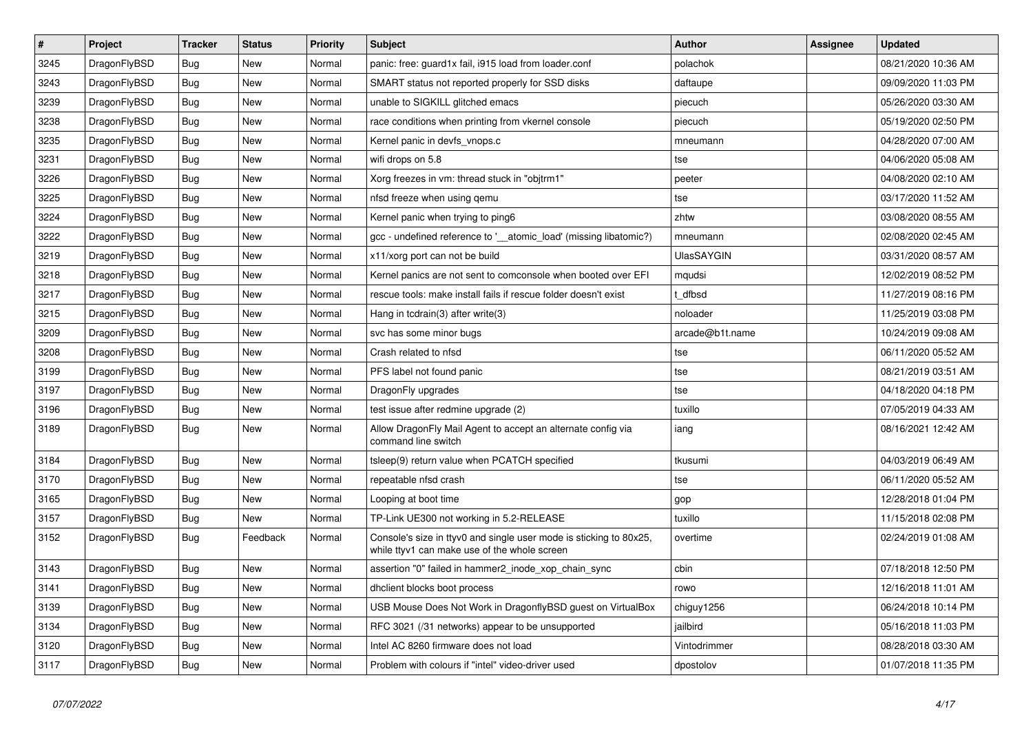| $\vert$ # | <b>Project</b> | <b>Tracker</b> | <b>Status</b> | <b>Priority</b> | <b>Subject</b>                                                                                                     | Author            | Assignee | <b>Updated</b>      |
|-----------|----------------|----------------|---------------|-----------------|--------------------------------------------------------------------------------------------------------------------|-------------------|----------|---------------------|
| 3245      | DragonFlyBSD   | <b>Bug</b>     | New           | Normal          | panic: free: guard1x fail, i915 load from loader.conf                                                              | polachok          |          | 08/21/2020 10:36 AM |
| 3243      | DragonFlyBSD   | Bug            | New           | Normal          | SMART status not reported properly for SSD disks                                                                   | daftaupe          |          | 09/09/2020 11:03 PM |
| 3239      | DragonFlyBSD   | <b>Bug</b>     | New           | Normal          | unable to SIGKILL glitched emacs                                                                                   | piecuch           |          | 05/26/2020 03:30 AM |
| 3238      | DragonFlyBSD   | <b>Bug</b>     | New           | Normal          | race conditions when printing from vkernel console                                                                 | piecuch           |          | 05/19/2020 02:50 PM |
| 3235      | DragonFlyBSD   | <b>Bug</b>     | New           | Normal          | Kernel panic in devfs_vnops.c                                                                                      | mneumann          |          | 04/28/2020 07:00 AM |
| 3231      | DragonFlyBSD   | Bug            | New           | Normal          | wifi drops on 5.8                                                                                                  | tse               |          | 04/06/2020 05:08 AM |
| 3226      | DragonFlyBSD   | <b>Bug</b>     | New           | Normal          | Xorg freezes in vm: thread stuck in "objtrm1"                                                                      | peeter            |          | 04/08/2020 02:10 AM |
| 3225      | DragonFlyBSD   | <b>Bug</b>     | New           | Normal          | nfsd freeze when using gemu                                                                                        | tse               |          | 03/17/2020 11:52 AM |
| 3224      | DragonFlyBSD   | <b>Bug</b>     | New           | Normal          | Kernel panic when trying to ping6                                                                                  | zhtw              |          | 03/08/2020 08:55 AM |
| 3222      | DragonFlyBSD   | <b>Bug</b>     | New           | Normal          | gcc - undefined reference to '__atomic_load' (missing libatomic?)                                                  | mneumann          |          | 02/08/2020 02:45 AM |
| 3219      | DragonFlyBSD   | <b>Bug</b>     | New           | Normal          | x11/xorg port can not be build                                                                                     | <b>UlasSAYGIN</b> |          | 03/31/2020 08:57 AM |
| 3218      | DragonFlyBSD   | Bug            | New           | Normal          | Kernel panics are not sent to comconsole when booted over EFI                                                      | mqudsi            |          | 12/02/2019 08:52 PM |
| 3217      | DragonFlyBSD   | <b>Bug</b>     | New           | Normal          | rescue tools: make install fails if rescue folder doesn't exist                                                    | t dfbsd           |          | 11/27/2019 08:16 PM |
| 3215      | DragonFlyBSD   | <b>Bug</b>     | New           | Normal          | Hang in tcdrain(3) after write(3)                                                                                  | noloader          |          | 11/25/2019 03:08 PM |
| 3209      | DragonFlyBSD   | <b>Bug</b>     | New           | Normal          | svc has some minor bugs                                                                                            | arcade@b1t.name   |          | 10/24/2019 09:08 AM |
| 3208      | DragonFlyBSD   | Bug            | New           | Normal          | Crash related to nfsd                                                                                              | tse               |          | 06/11/2020 05:52 AM |
| 3199      | DragonFlyBSD   | <b>Bug</b>     | New           | Normal          | PFS label not found panic                                                                                          | tse               |          | 08/21/2019 03:51 AM |
| 3197      | DragonFlyBSD   | Bug            | New           | Normal          | DragonFly upgrades                                                                                                 | tse               |          | 04/18/2020 04:18 PM |
| 3196      | DragonFlyBSD   | <b>Bug</b>     | New           | Normal          | test issue after redmine upgrade (2)                                                                               | tuxillo           |          | 07/05/2019 04:33 AM |
| 3189      | DragonFlyBSD   | <b>Bug</b>     | New           | Normal          | Allow DragonFly Mail Agent to accept an alternate config via<br>command line switch                                | iang              |          | 08/16/2021 12:42 AM |
| 3184      | DragonFlyBSD   | <b>Bug</b>     | <b>New</b>    | Normal          | tsleep(9) return value when PCATCH specified                                                                       | tkusumi           |          | 04/03/2019 06:49 AM |
| 3170      | DragonFlyBSD   | Bug            | New           | Normal          | repeatable nfsd crash                                                                                              | tse               |          | 06/11/2020 05:52 AM |
| 3165      | DragonFlyBSD   | <b>Bug</b>     | <b>New</b>    | Normal          | Looping at boot time                                                                                               | gop               |          | 12/28/2018 01:04 PM |
| 3157      | DragonFlyBSD   | <b>Bug</b>     | <b>New</b>    | Normal          | TP-Link UE300 not working in 5.2-RELEASE                                                                           | tuxillo           |          | 11/15/2018 02:08 PM |
| 3152      | DragonFlyBSD   | <b>Bug</b>     | Feedback      | Normal          | Console's size in ttyv0 and single user mode is sticking to 80x25,<br>while ttyv1 can make use of the whole screen | overtime          |          | 02/24/2019 01:08 AM |
| 3143      | DragonFlyBSD   | <b>Bug</b>     | New           | Normal          | assertion "0" failed in hammer2 inode xop chain sync                                                               | cbin              |          | 07/18/2018 12:50 PM |
| 3141      | DragonFlyBSD   | <b>Bug</b>     | New           | Normal          | dhclient blocks boot process                                                                                       | rowo              |          | 12/16/2018 11:01 AM |
| 3139      | DragonFlyBSD   | <b>Bug</b>     | <b>New</b>    | Normal          | USB Mouse Does Not Work in DragonflyBSD guest on VirtualBox                                                        | chiguy1256        |          | 06/24/2018 10:14 PM |
| 3134      | DragonFlyBSD   | <b>Bug</b>     | New           | Normal          | RFC 3021 (/31 networks) appear to be unsupported                                                                   | jailbird          |          | 05/16/2018 11:03 PM |
| 3120      | DragonFlyBSD   | <b>Bug</b>     | <b>New</b>    | Normal          | Intel AC 8260 firmware does not load                                                                               | Vintodrimmer      |          | 08/28/2018 03:30 AM |
| 3117      | DragonFlyBSD   | Bug            | <b>New</b>    | Normal          | Problem with colours if "intel" video-driver used                                                                  | dpostolov         |          | 01/07/2018 11:35 PM |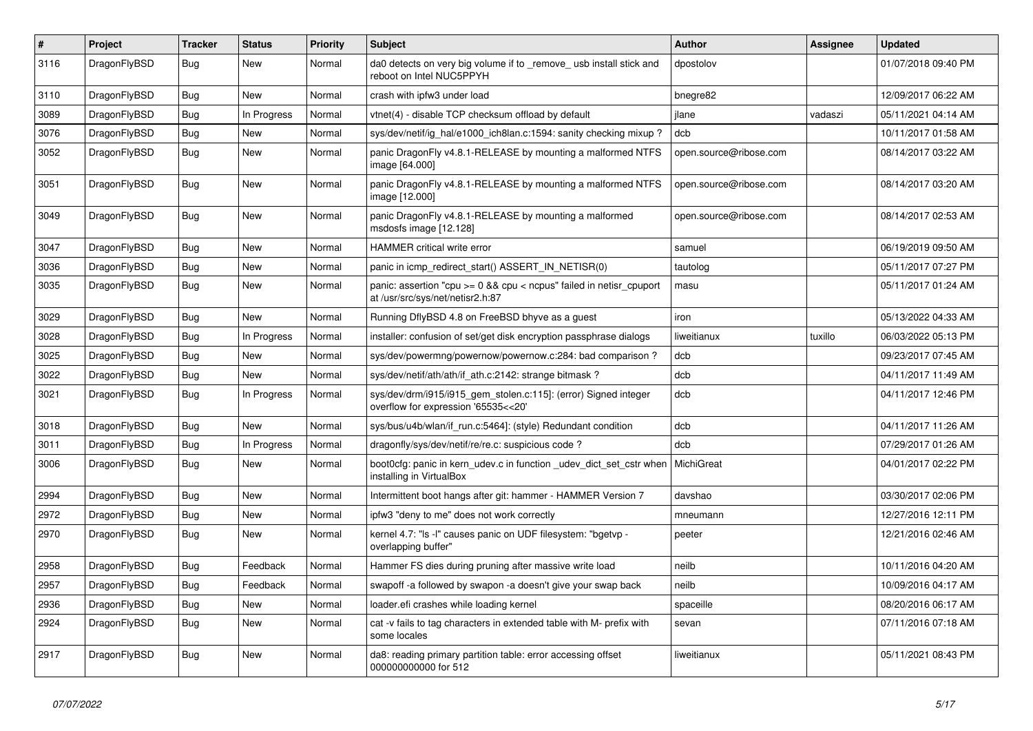| $\sharp$ | Project      | <b>Tracker</b> | <b>Status</b> | <b>Priority</b> | <b>Subject</b>                                                                                            | <b>Author</b>          | Assignee | Updated             |
|----------|--------------|----------------|---------------|-----------------|-----------------------------------------------------------------------------------------------------------|------------------------|----------|---------------------|
| 3116     | DragonFlyBSD | Bug            | <b>New</b>    | Normal          | da0 detects on very big volume if to remove usb install stick and<br>reboot on Intel NUC5PPYH             | dpostolov              |          | 01/07/2018 09:40 PM |
| 3110     | DragonFlyBSD | <b>Bug</b>     | <b>New</b>    | Normal          | crash with ipfw3 under load                                                                               | bnegre82               |          | 12/09/2017 06:22 AM |
| 3089     | DragonFlyBSD | Bug            | In Progress   | Normal          | vtnet(4) - disable TCP checksum offload by default                                                        | jlane                  | vadaszi  | 05/11/2021 04:14 AM |
| 3076     | DragonFlyBSD | Bug            | <b>New</b>    | Normal          | sys/dev/netif/ig_hal/e1000_ich8lan.c:1594: sanity checking mixup?                                         | dcb                    |          | 10/11/2017 01:58 AM |
| 3052     | DragonFlyBSD | <b>Bug</b>     | <b>New</b>    | Normal          | panic DragonFly v4.8.1-RELEASE by mounting a malformed NTFS<br>image [64.000]                             | open.source@ribose.com |          | 08/14/2017 03:22 AM |
| 3051     | DragonFlyBSD | Bug            | New           | Normal          | panic DragonFly v4.8.1-RELEASE by mounting a malformed NTFS<br>image [12.000]                             | open.source@ribose.com |          | 08/14/2017 03:20 AM |
| 3049     | DragonFlyBSD | Bug            | <b>New</b>    | Normal          | panic DragonFly v4.8.1-RELEASE by mounting a malformed<br>msdosfs image [12.128]                          | open.source@ribose.com |          | 08/14/2017 02:53 AM |
| 3047     | DragonFlyBSD | <b>Bug</b>     | <b>New</b>    | Normal          | <b>HAMMER</b> critical write error                                                                        | samuel                 |          | 06/19/2019 09:50 AM |
| 3036     | DragonFlyBSD | Bug            | <b>New</b>    | Normal          | panic in icmp_redirect_start() ASSERT_IN_NETISR(0)                                                        | tautolog               |          | 05/11/2017 07:27 PM |
| 3035     | DragonFlyBSD | <b>Bug</b>     | <b>New</b>    | Normal          | panic: assertion "cpu $>= 0$ && cpu < ncpus" failed in netisr cpuport<br>at /usr/src/sys/net/netisr2.h:87 | masu                   |          | 05/11/2017 01:24 AM |
| 3029     | DragonFlyBSD | Bug            | <b>New</b>    | Normal          | Running DflyBSD 4.8 on FreeBSD bhyve as a guest                                                           | iron                   |          | 05/13/2022 04:33 AM |
| 3028     | DragonFlyBSD | Bug            | In Progress   | Normal          | installer: confusion of set/get disk encryption passphrase dialogs                                        | liweitianux            | tuxillo  | 06/03/2022 05:13 PM |
| 3025     | DragonFlyBSD | Bug            | <b>New</b>    | Normal          | sys/dev/powermng/powernow/powernow.c:284: bad comparison?                                                 | dcb                    |          | 09/23/2017 07:45 AM |
| 3022     | DragonFlyBSD | Bug            | <b>New</b>    | Normal          | sys/dev/netif/ath/ath/if ath.c:2142: strange bitmask?                                                     | dcb                    |          | 04/11/2017 11:49 AM |
| 3021     | DragonFlyBSD | Bug            | In Progress   | Normal          | sys/dev/drm/i915/i915_gem_stolen.c:115]: (error) Signed integer<br>overflow for expression '65535<<20'    | dcb                    |          | 04/11/2017 12:46 PM |
| 3018     | DragonFlyBSD | Bug            | <b>New</b>    | Normal          | sys/bus/u4b/wlan/if run.c:5464]: (style) Redundant condition                                              | dcb                    |          | 04/11/2017 11:26 AM |
| 3011     | DragonFlyBSD | Bug            | In Progress   | Normal          | dragonfly/sys/dev/netif/re/re.c: suspicious code?                                                         | dcb                    |          | 07/29/2017 01:26 AM |
| 3006     | DragonFlyBSD | Bug            | <b>New</b>    | Normal          | boot0cfg: panic in kern_udev.c in function _udev_dict_set_cstr when<br>installing in VirtualBox           | MichiGreat             |          | 04/01/2017 02:22 PM |
| 2994     | DragonFlyBSD | <b>Bug</b>     | <b>New</b>    | Normal          | Intermittent boot hangs after git: hammer - HAMMER Version 7                                              | davshao                |          | 03/30/2017 02:06 PM |
| 2972     | DragonFlyBSD | Bug            | <b>New</b>    | Normal          | ipfw3 "deny to me" does not work correctly                                                                | mneumann               |          | 12/27/2016 12:11 PM |
| 2970     | DragonFlyBSD | <b>Bug</b>     | <b>New</b>    | Normal          | kernel 4.7: "Is -I" causes panic on UDF filesystem: "bgetvp -<br>overlapping buffer"                      | peeter                 |          | 12/21/2016 02:46 AM |
| 2958     | DragonFlyBSD | Bug            | Feedback      | Normal          | Hammer FS dies during pruning after massive write load                                                    | neilb                  |          | 10/11/2016 04:20 AM |
| 2957     | DragonFlyBSD | <b>Bug</b>     | Feedback      | Normal          | swapoff -a followed by swapon -a doesn't give your swap back                                              | neilb                  |          | 10/09/2016 04:17 AM |
| 2936     | DragonFlyBSD | <b>Bug</b>     | <b>New</b>    | Normal          | loader.efi crashes while loading kernel                                                                   | spaceille              |          | 08/20/2016 06:17 AM |
| 2924     | DragonFlyBSD | <b>Bug</b>     | New           | Normal          | cat -v fails to tag characters in extended table with M- prefix with<br>some locales                      | sevan                  |          | 07/11/2016 07:18 AM |
| 2917     | DragonFlyBSD | Bug            | <b>New</b>    | Normal          | da8: reading primary partition table: error accessing offset<br>000000000000 for 512                      | liweitianux            |          | 05/11/2021 08:43 PM |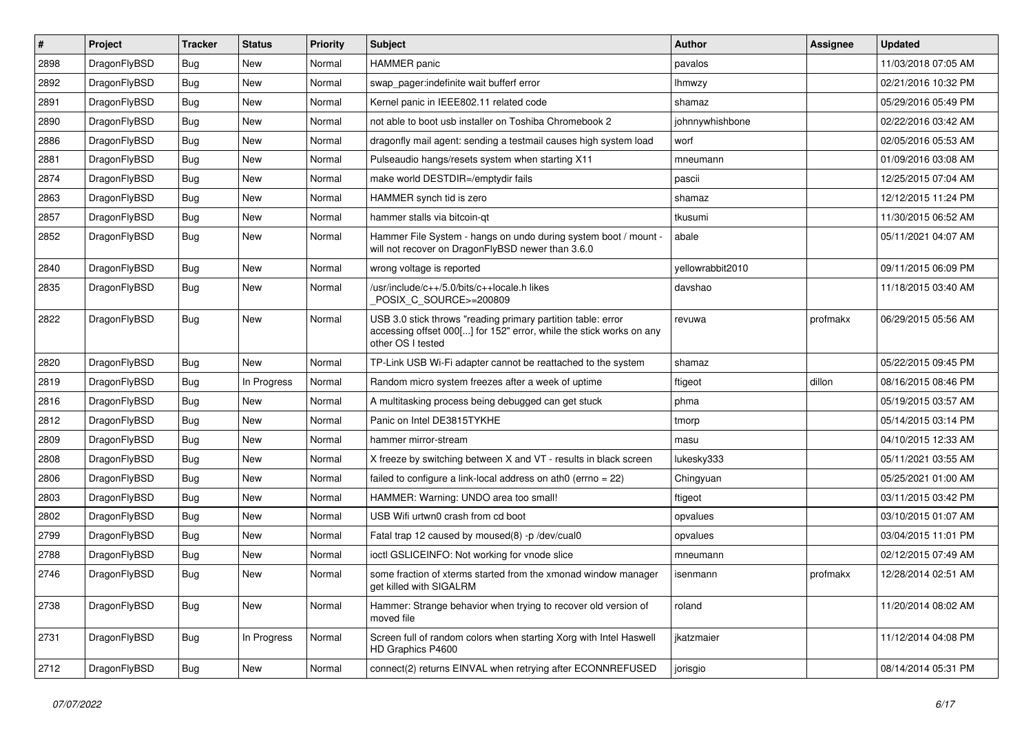| $\vert$ # | Project      | <b>Tracker</b> | <b>Status</b> | <b>Priority</b> | Subject                                                                                                                                                  | Author           | Assignee | <b>Updated</b>      |
|-----------|--------------|----------------|---------------|-----------------|----------------------------------------------------------------------------------------------------------------------------------------------------------|------------------|----------|---------------------|
| 2898      | DragonFlyBSD | Bug            | <b>New</b>    | Normal          | <b>HAMMER</b> panic                                                                                                                                      | pavalos          |          | 11/03/2018 07:05 AM |
| 2892      | DragonFlyBSD | Bug            | New           | Normal          | swap_pager:indefinite wait bufferf error                                                                                                                 | <b>Ihmwzy</b>    |          | 02/21/2016 10:32 PM |
| 2891      | DragonFlyBSD | Bug            | New           | Normal          | Kernel panic in IEEE802.11 related code                                                                                                                  | shamaz           |          | 05/29/2016 05:49 PM |
| 2890      | DragonFlyBSD | <b>Bug</b>     | New           | Normal          | not able to boot usb installer on Toshiba Chromebook 2                                                                                                   | johnnywhishbone  |          | 02/22/2016 03:42 AM |
| 2886      | DragonFlyBSD | Bug            | <b>New</b>    | Normal          | dragonfly mail agent: sending a testmail causes high system load                                                                                         | worf             |          | 02/05/2016 05:53 AM |
| 2881      | DragonFlyBSD | Bug            | New           | Normal          | Pulseaudio hangs/resets system when starting X11                                                                                                         | mneumann         |          | 01/09/2016 03:08 AM |
| 2874      | DragonFlyBSD | Bug            | <b>New</b>    | Normal          | make world DESTDIR=/emptydir fails                                                                                                                       | pascii           |          | 12/25/2015 07:04 AM |
| 2863      | DragonFlyBSD | Bug            | New           | Normal          | HAMMER synch tid is zero                                                                                                                                 | shamaz           |          | 12/12/2015 11:24 PM |
| 2857      | DragonFlyBSD | <b>Bug</b>     | New           | Normal          | hammer stalls via bitcoin-qt                                                                                                                             | tkusumi          |          | 11/30/2015 06:52 AM |
| 2852      | DragonFlyBSD | Bug            | <b>New</b>    | Normal          | Hammer File System - hangs on undo during system boot / mount -<br>will not recover on DragonFlyBSD newer than 3.6.0                                     | abale            |          | 05/11/2021 04:07 AM |
| 2840      | DragonFlyBSD | <b>Bug</b>     | <b>New</b>    | Normal          | wrong voltage is reported                                                                                                                                | yellowrabbit2010 |          | 09/11/2015 06:09 PM |
| 2835      | DragonFlyBSD | Bug            | <b>New</b>    | Normal          | /usr/include/c++/5.0/bits/c++locale.h likes<br>POSIX C_SOURCE>=200809                                                                                    | davshao          |          | 11/18/2015 03:40 AM |
| 2822      | DragonFlyBSD | Bug            | <b>New</b>    | Normal          | USB 3.0 stick throws "reading primary partition table: error<br>accessing offset 000[] for 152" error, while the stick works on any<br>other OS I tested | revuwa           | profmakx | 06/29/2015 05:56 AM |
| 2820      | DragonFlyBSD | Bug            | New           | Normal          | TP-Link USB Wi-Fi adapter cannot be reattached to the system                                                                                             | shamaz           |          | 05/22/2015 09:45 PM |
| 2819      | DragonFlyBSD | Bug            | In Progress   | Normal          | Random micro system freezes after a week of uptime                                                                                                       | ftigeot          | dillon   | 08/16/2015 08:46 PM |
| 2816      | DragonFlyBSD | Bug            | <b>New</b>    | Normal          | A multitasking process being debugged can get stuck                                                                                                      | phma             |          | 05/19/2015 03:57 AM |
| 2812      | DragonFlyBSD | Bug            | New           | Normal          | Panic on Intel DE3815TYKHE                                                                                                                               | tmorp            |          | 05/14/2015 03:14 PM |
| 2809      | DragonFlyBSD | <b>Bug</b>     | New           | Normal          | hammer mirror-stream                                                                                                                                     | masu             |          | 04/10/2015 12:33 AM |
| 2808      | DragonFlyBSD | Bug            | <b>New</b>    | Normal          | X freeze by switching between X and VT - results in black screen                                                                                         | lukesky333       |          | 05/11/2021 03:55 AM |
| 2806      | DragonFlyBSD | Bug            | New           | Normal          | failed to configure a link-local address on ath $0$ (errno = 22)                                                                                         | Chingyuan        |          | 05/25/2021 01:00 AM |
| 2803      | DragonFlyBSD | Bug            | New           | Normal          | HAMMER: Warning: UNDO area too small!                                                                                                                    | ftigeot          |          | 03/11/2015 03:42 PM |
| 2802      | DragonFlyBSD | Bug            | New           | Normal          | USB Wifi urtwn0 crash from cd boot                                                                                                                       | opvalues         |          | 03/10/2015 01:07 AM |
| 2799      | DragonFlyBSD | Bug            | New           | Normal          | Fatal trap 12 caused by moused(8) -p/dev/cual0                                                                                                           | opvalues         |          | 03/04/2015 11:01 PM |
| 2788      | DragonFlyBSD | Bug            | New           | Normal          | ioctl GSLICEINFO: Not working for vnode slice                                                                                                            | mneumann         |          | 02/12/2015 07:49 AM |
| 2746      | DragonFlyBSD | Bug            | New           | Normal          | some fraction of xterms started from the xmonad window manager<br>get killed with SIGALRM                                                                | isenmann         | profmakx | 12/28/2014 02:51 AM |
| 2738      | DragonFlyBSD | <b>Bug</b>     | New           | Normal          | Hammer: Strange behavior when trying to recover old version of<br>moved file                                                                             | roland           |          | 11/20/2014 08:02 AM |
| 2731      | DragonFlyBSD | <b>Bug</b>     | In Progress   | Normal          | Screen full of random colors when starting Xorg with Intel Haswell<br>HD Graphics P4600                                                                  | jkatzmaier       |          | 11/12/2014 04:08 PM |
| 2712      | DragonFlyBSD | <b>Bug</b>     | New           | Normal          | connect(2) returns EINVAL when retrying after ECONNREFUSED                                                                                               | jorisgio         |          | 08/14/2014 05:31 PM |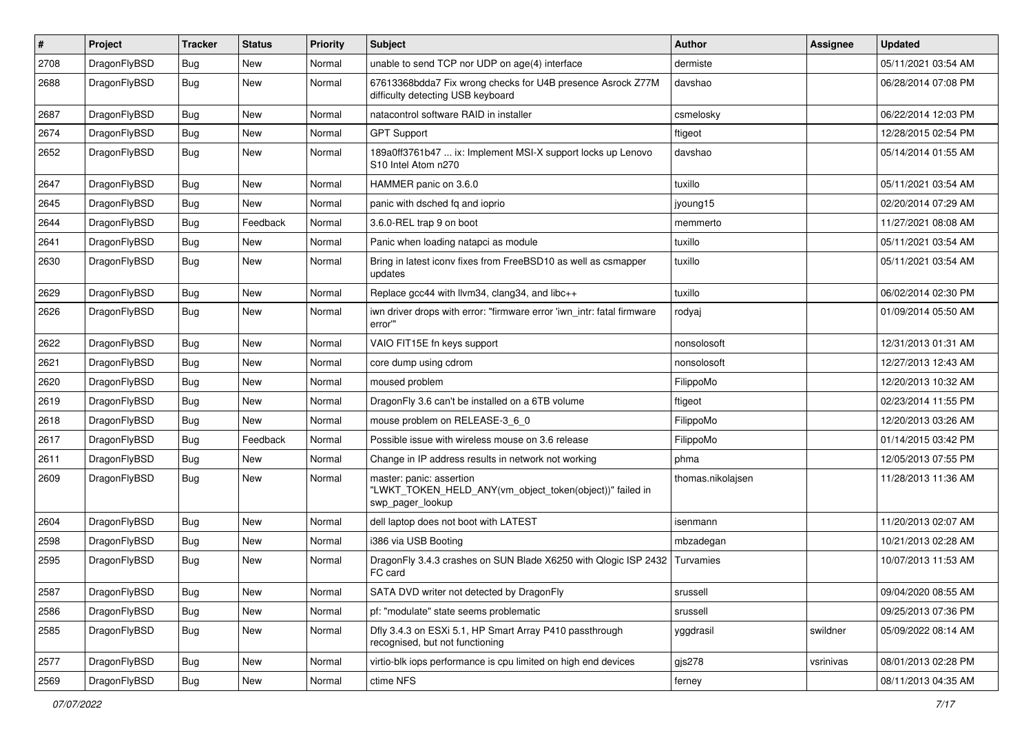| $\sharp$ | Project      | <b>Tracker</b> | <b>Status</b> | <b>Priority</b> | Subject                                                                                                    | <b>Author</b>     | Assignee  | <b>Updated</b>      |
|----------|--------------|----------------|---------------|-----------------|------------------------------------------------------------------------------------------------------------|-------------------|-----------|---------------------|
| 2708     | DragonFlyBSD | Bug            | New           | Normal          | unable to send TCP nor UDP on age(4) interface                                                             | dermiste          |           | 05/11/2021 03:54 AM |
| 2688     | DragonFlyBSD | Bug            | New           | Normal          | 67613368bdda7 Fix wrong checks for U4B presence Asrock Z77M<br>difficulty detecting USB keyboard           | davshao           |           | 06/28/2014 07:08 PM |
| 2687     | DragonFlyBSD | Bug            | <b>New</b>    | Normal          | natacontrol software RAID in installer                                                                     | csmelosky         |           | 06/22/2014 12:03 PM |
| 2674     | DragonFlyBSD | Bug            | <b>New</b>    | Normal          | <b>GPT Support</b>                                                                                         | ftigeot           |           | 12/28/2015 02:54 PM |
| 2652     | DragonFlyBSD | Bug            | New           | Normal          | 189a0ff3761b47  ix: Implement MSI-X support locks up Lenovo<br>S <sub>10</sub> Intel Atom n <sub>270</sub> | davshao           |           | 05/14/2014 01:55 AM |
| 2647     | DragonFlyBSD | Bug            | <b>New</b>    | Normal          | HAMMER panic on 3.6.0                                                                                      | tuxillo           |           | 05/11/2021 03:54 AM |
| 2645     | DragonFlyBSD | <b>Bug</b>     | <b>New</b>    | Normal          | panic with dsched fq and ioprio                                                                            | jyoung15          |           | 02/20/2014 07:29 AM |
| 2644     | DragonFlyBSD | <b>Bug</b>     | Feedback      | Normal          | 3.6.0-REL trap 9 on boot                                                                                   | memmerto          |           | 11/27/2021 08:08 AM |
| 2641     | DragonFlyBSD | <b>Bug</b>     | New           | Normal          | Panic when loading natapci as module                                                                       | tuxillo           |           | 05/11/2021 03:54 AM |
| 2630     | DragonFlyBSD | <b>Bug</b>     | <b>New</b>    | Normal          | Bring in latest iconv fixes from FreeBSD10 as well as csmapper<br>updates                                  | tuxillo           |           | 05/11/2021 03:54 AM |
| 2629     | DragonFlyBSD | <b>Bug</b>     | New           | Normal          | Replace gcc44 with llvm34, clang34, and libc++                                                             | tuxillo           |           | 06/02/2014 02:30 PM |
| 2626     | DragonFlyBSD | <b>Bug</b>     | New           | Normal          | iwn driver drops with error: "firmware error 'iwn_intr: fatal firmware<br>error"                           | rodyaj            |           | 01/09/2014 05:50 AM |
| 2622     | DragonFlyBSD | <b>Bug</b>     | <b>New</b>    | Normal          | VAIO FIT15E fn keys support                                                                                | nonsolosoft       |           | 12/31/2013 01:31 AM |
| 2621     | DragonFlyBSD | <b>Bug</b>     | New           | Normal          | core dump using cdrom                                                                                      | nonsolosoft       |           | 12/27/2013 12:43 AM |
| 2620     | DragonFlyBSD | <b>Bug</b>     | <b>New</b>    | Normal          | moused problem                                                                                             | FilippoMo         |           | 12/20/2013 10:32 AM |
| 2619     | DragonFlyBSD | <b>Bug</b>     | New           | Normal          | DragonFly 3.6 can't be installed on a 6TB volume                                                           | ftigeot           |           | 02/23/2014 11:55 PM |
| 2618     | DragonFlyBSD | <b>Bug</b>     | <b>New</b>    | Normal          | mouse problem on RELEASE-3_6_0                                                                             | FilippoMo         |           | 12/20/2013 03:26 AM |
| 2617     | DragonFlyBSD | <b>Bug</b>     | Feedback      | Normal          | Possible issue with wireless mouse on 3.6 release                                                          | FilippoMo         |           | 01/14/2015 03:42 PM |
| 2611     | DragonFlyBSD | <b>Bug</b>     | <b>New</b>    | Normal          | Change in IP address results in network not working                                                        | phma              |           | 12/05/2013 07:55 PM |
| 2609     | DragonFlyBSD | <b>Bug</b>     | <b>New</b>    | Normal          | master: panic: assertion<br>"LWKT_TOKEN_HELD_ANY(vm_object_token(object))" failed in<br>swp_pager_lookup   | thomas.nikolajsen |           | 11/28/2013 11:36 AM |
| 2604     | DragonFlyBSD | <b>Bug</b>     | <b>New</b>    | Normal          | dell laptop does not boot with LATEST                                                                      | isenmann          |           | 11/20/2013 02:07 AM |
| 2598     | DragonFlyBSD | <b>Bug</b>     | New           | Normal          | i386 via USB Booting                                                                                       | mbzadegan         |           | 10/21/2013 02:28 AM |
| 2595     | DragonFlyBSD | Bug            | New           | Normal          | DragonFly 3.4.3 crashes on SUN Blade X6250 with Qlogic ISP 2432<br>FC card                                 | Turvamies         |           | 10/07/2013 11:53 AM |
| 2587     | DragonFlyBSD | <b>Bug</b>     | New           | Normal          | SATA DVD writer not detected by DragonFly                                                                  | srussell          |           | 09/04/2020 08:55 AM |
| 2586     | DragonFlyBSD | <b>Bug</b>     | New           | Normal          | pf: "modulate" state seems problematic                                                                     | srussell          |           | 09/25/2013 07:36 PM |
| 2585     | DragonFlyBSD | Bug            | New           | Normal          | Dfly 3.4.3 on ESXi 5.1, HP Smart Array P410 passthrough<br>recognised, but not functioning                 | yggdrasil         | swildner  | 05/09/2022 08:14 AM |
| 2577     | DragonFlyBSD | Bug            | <b>New</b>    | Normal          | virtio-blk iops performance is cpu limited on high end devices                                             | $g$ js $278$      | vsrinivas | 08/01/2013 02:28 PM |
| 2569     | DragonFlyBSD | <b>Bug</b>     | New           | Normal          | ctime NFS                                                                                                  | ferney            |           | 08/11/2013 04:35 AM |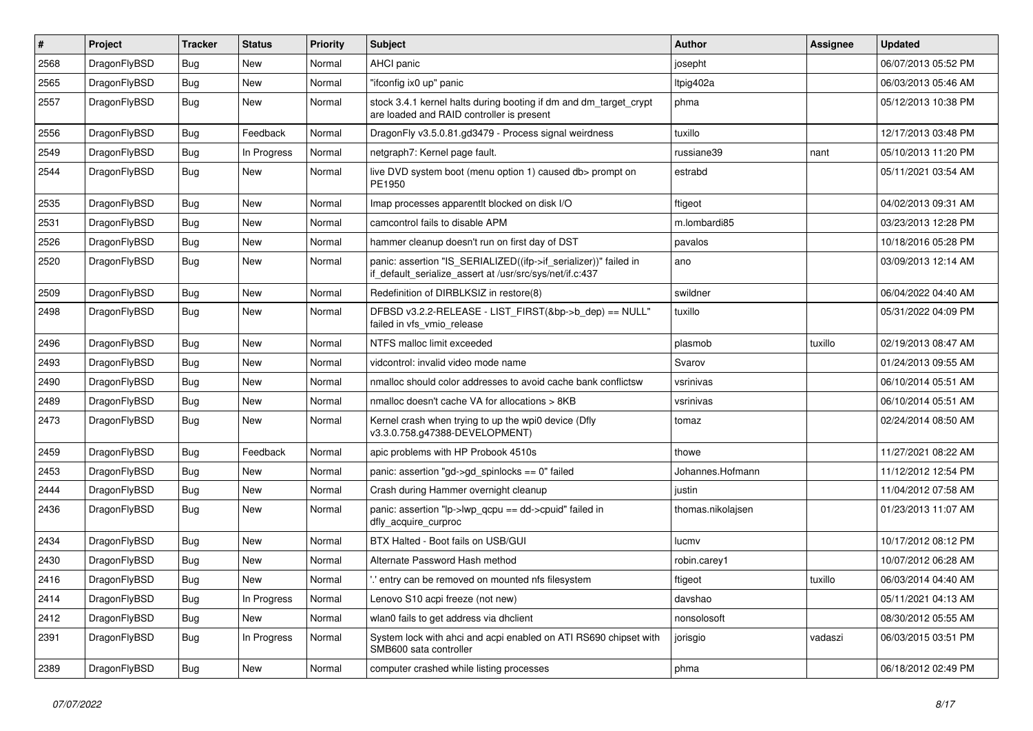| $\pmb{\#}$ | Project      | <b>Tracker</b> | <b>Status</b> | <b>Priority</b> | <b>Subject</b>                                                                                                               | <b>Author</b>     | <b>Assignee</b> | <b>Updated</b>      |
|------------|--------------|----------------|---------------|-----------------|------------------------------------------------------------------------------------------------------------------------------|-------------------|-----------------|---------------------|
| 2568       | DragonFlyBSD | Bug            | <b>New</b>    | Normal          | AHCI panic                                                                                                                   | josepht           |                 | 06/07/2013 05:52 PM |
| 2565       | DragonFlyBSD | Bug            | <b>New</b>    | Normal          | "ifconfig ix0 up" panic                                                                                                      | Itpig402a         |                 | 06/03/2013 05:46 AM |
| 2557       | DragonFlyBSD | <b>Bug</b>     | New           | Normal          | stock 3.4.1 kernel halts during booting if dm and dm_target_crypt<br>are loaded and RAID controller is present               | phma              |                 | 05/12/2013 10:38 PM |
| 2556       | DragonFlyBSD | <b>Bug</b>     | Feedback      | Normal          | DragonFly v3.5.0.81.gd3479 - Process signal weirdness                                                                        | tuxillo           |                 | 12/17/2013 03:48 PM |
| 2549       | DragonFlyBSD | <b>Bug</b>     | In Progress   | Normal          | netgraph7: Kernel page fault.                                                                                                | russiane39        | nant            | 05/10/2013 11:20 PM |
| 2544       | DragonFlyBSD | Bug            | New           | Normal          | live DVD system boot (menu option 1) caused db> prompt on<br>PE1950                                                          | estrabd           |                 | 05/11/2021 03:54 AM |
| 2535       | DragonFlyBSD | <b>Bug</b>     | <b>New</b>    | Normal          | Imap processes apparentlt blocked on disk I/O                                                                                | ftigeot           |                 | 04/02/2013 09:31 AM |
| 2531       | DragonFlyBSD | <b>Bug</b>     | <b>New</b>    | Normal          | camcontrol fails to disable APM                                                                                              | m.lombardi85      |                 | 03/23/2013 12:28 PM |
| 2526       | DragonFlyBSD | Bug            | <b>New</b>    | Normal          | hammer cleanup doesn't run on first day of DST                                                                               | pavalos           |                 | 10/18/2016 05:28 PM |
| 2520       | DragonFlyBSD | Bug            | New           | Normal          | panic: assertion "IS_SERIALIZED((ifp->if_serializer))" failed in<br>if_default_serialize_assert at /usr/src/sys/net/if.c:437 | ano               |                 | 03/09/2013 12:14 AM |
| 2509       | DragonFlyBSD | <b>Bug</b>     | <b>New</b>    | Normal          | Redefinition of DIRBLKSIZ in restore(8)                                                                                      | swildner          |                 | 06/04/2022 04:40 AM |
| 2498       | DragonFlyBSD | Bug            | <b>New</b>    | Normal          | DFBSD v3.2.2-RELEASE - LIST_FIRST(&bp->b_dep) == NULL"<br>failed in vfs vmio release                                         | tuxillo           |                 | 05/31/2022 04:09 PM |
| 2496       | DragonFlyBSD | Bug            | <b>New</b>    | Normal          | NTFS malloc limit exceeded                                                                                                   | plasmob           | tuxillo         | 02/19/2013 08:47 AM |
| 2493       | DragonFlyBSD | <b>Bug</b>     | <b>New</b>    | Normal          | vidcontrol: invalid video mode name                                                                                          | Svarov            |                 | 01/24/2013 09:55 AM |
| 2490       | DragonFlyBSD | <b>Bug</b>     | <b>New</b>    | Normal          | nmalloc should color addresses to avoid cache bank conflictsw                                                                | vsrinivas         |                 | 06/10/2014 05:51 AM |
| 2489       | DragonFlyBSD | Bug            | <b>New</b>    | Normal          | nmalloc doesn't cache VA for allocations > 8KB                                                                               | vsrinivas         |                 | 06/10/2014 05:51 AM |
| 2473       | DragonFlyBSD | Bug            | New           | Normal          | Kernel crash when trying to up the wpi0 device (Dfly<br>v3.3.0.758.g47388-DEVELOPMENT)                                       | tomaz             |                 | 02/24/2014 08:50 AM |
| 2459       | DragonFlyBSD | Bug            | Feedback      | Normal          | apic problems with HP Probook 4510s                                                                                          | thowe             |                 | 11/27/2021 08:22 AM |
| 2453       | DragonFlyBSD | <b>Bug</b>     | <b>New</b>    | Normal          | panic: assertion "gd->gd_spinlocks == $0$ " failed                                                                           | Johannes.Hofmann  |                 | 11/12/2012 12:54 PM |
| 2444       | DragonFlyBSD | Bug            | <b>New</b>    | Normal          | Crash during Hammer overnight cleanup                                                                                        | justin            |                 | 11/04/2012 07:58 AM |
| 2436       | DragonFlyBSD | Bug            | <b>New</b>    | Normal          | panic: assertion "lp->lwp_qcpu == dd->cpuid" failed in<br>dfly_acquire_curproc                                               | thomas.nikolajsen |                 | 01/23/2013 11:07 AM |
| 2434       | DragonFlyBSD | Bug            | <b>New</b>    | Normal          | BTX Halted - Boot fails on USB/GUI                                                                                           | lucmv             |                 | 10/17/2012 08:12 PM |
| 2430       | DragonFlyBSD | <b>Bug</b>     | <b>New</b>    | Normal          | Alternate Password Hash method                                                                                               | robin.carey1      |                 | 10/07/2012 06:28 AM |
| 2416       | DragonFlyBSD | <b>Bug</b>     | New           | Normal          | ' entry can be removed on mounted nfs filesystem                                                                             | ftigeot           | tuxillo         | 06/03/2014 04:40 AM |
| 2414       | DragonFlyBSD | <b>Bug</b>     | In Progress   | Normal          | Lenovo S10 acpi freeze (not new)                                                                                             | davshao           |                 | 05/11/2021 04:13 AM |
| 2412       | DragonFlyBSD | <b>Bug</b>     | New           | Normal          | wlan0 fails to get address via dhclient                                                                                      | nonsolosoft       |                 | 08/30/2012 05:55 AM |
| 2391       | DragonFlyBSD | Bug            | In Progress   | Normal          | System lock with ahci and acpi enabled on ATI RS690 chipset with<br>SMB600 sata controller                                   | jorisgio          | vadaszi         | 06/03/2015 03:51 PM |
| 2389       | DragonFlyBSD | Bug            | New           | Normal          | computer crashed while listing processes                                                                                     | phma              |                 | 06/18/2012 02:49 PM |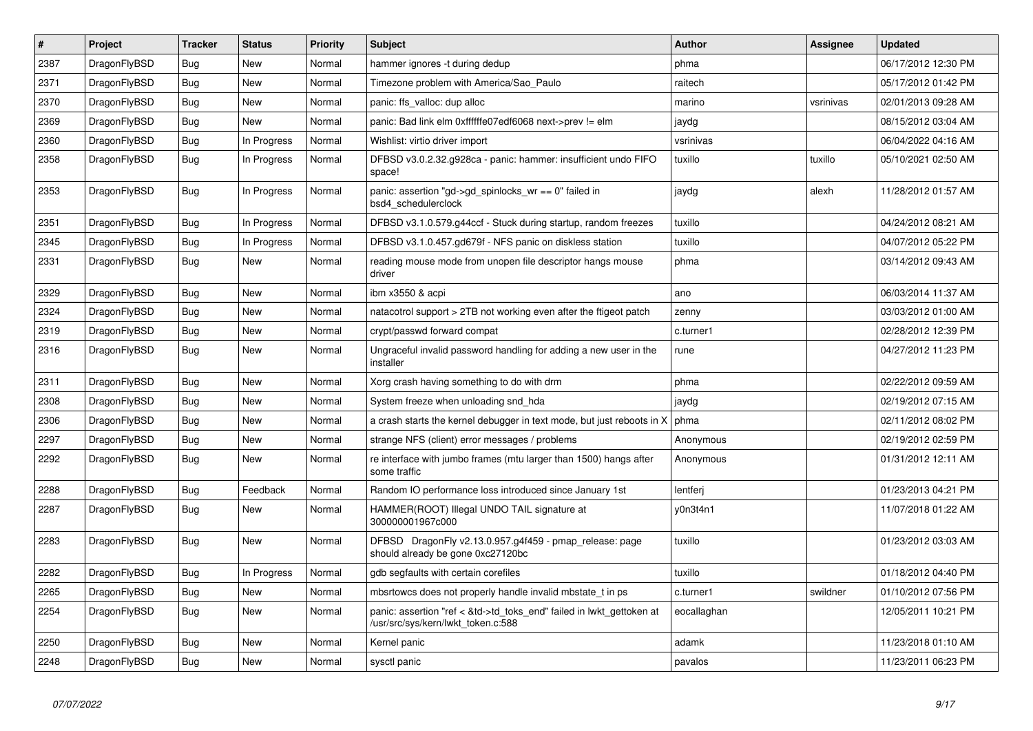| $\vert$ # | <b>Project</b> | <b>Tracker</b> | <b>Status</b> | <b>Priority</b> | <b>Subject</b>                                                                                             | <b>Author</b> | <b>Assignee</b> | <b>Updated</b>      |
|-----------|----------------|----------------|---------------|-----------------|------------------------------------------------------------------------------------------------------------|---------------|-----------------|---------------------|
| 2387      | DragonFlyBSD   | <b>Bug</b>     | <b>New</b>    | Normal          | hammer ignores -t during dedup                                                                             | phma          |                 | 06/17/2012 12:30 PM |
| 2371      | DragonFlyBSD   | <b>Bug</b>     | <b>New</b>    | Normal          | Timezone problem with America/Sao Paulo                                                                    | raitech       |                 | 05/17/2012 01:42 PM |
| 2370      | DragonFlyBSD   | Bug            | <b>New</b>    | Normal          | panic: ffs valloc: dup alloc                                                                               | marino        | vsrinivas       | 02/01/2013 09:28 AM |
| 2369      | DragonFlyBSD   | <b>Bug</b>     | <b>New</b>    | Normal          | panic: Bad link elm 0xffffffe07edf6068 next->prev != elm                                                   | jaydg         |                 | 08/15/2012 03:04 AM |
| 2360      | DragonFlyBSD   | <b>Bug</b>     | In Progress   | Normal          | Wishlist: virtio driver import                                                                             | vsrinivas     |                 | 06/04/2022 04:16 AM |
| 2358      | DragonFlyBSD   | <b>Bug</b>     | In Progress   | Normal          | DFBSD v3.0.2.32.g928ca - panic: hammer: insufficient undo FIFO<br>space!                                   | tuxillo       | tuxillo         | 05/10/2021 02:50 AM |
| 2353      | DragonFlyBSD   | Bug            | In Progress   | Normal          | panic: assertion "gd->gd_spinlocks_wr == 0" failed in<br>bsd4 schedulerclock                               | jaydg         | alexh           | 11/28/2012 01:57 AM |
| 2351      | DragonFlyBSD   | <b>Bug</b>     | In Progress   | Normal          | DFBSD v3.1.0.579.g44ccf - Stuck during startup, random freezes                                             | tuxillo       |                 | 04/24/2012 08:21 AM |
| 2345      | DragonFlyBSD   | <b>Bug</b>     | In Progress   | Normal          | DFBSD v3.1.0.457.gd679f - NFS panic on diskless station                                                    | tuxillo       |                 | 04/07/2012 05:22 PM |
| 2331      | DragonFlyBSD   | Bug            | New           | Normal          | reading mouse mode from unopen file descriptor hangs mouse<br>driver                                       | phma          |                 | 03/14/2012 09:43 AM |
| 2329      | DragonFlyBSD   | <b>Bug</b>     | <b>New</b>    | Normal          | ibm x3550 & acpi                                                                                           | ano           |                 | 06/03/2014 11:37 AM |
| 2324      | DragonFlyBSD   | Bug            | <b>New</b>    | Normal          | natacotrol support > 2TB not working even after the ftigeot patch                                          | zenny         |                 | 03/03/2012 01:00 AM |
| 2319      | DragonFlyBSD   | <b>Bug</b>     | <b>New</b>    | Normal          | crypt/passwd forward compat                                                                                | c.turner1     |                 | 02/28/2012 12:39 PM |
| 2316      | DragonFlyBSD   | Bug            | <b>New</b>    | Normal          | Ungraceful invalid password handling for adding a new user in the<br>installer                             | rune          |                 | 04/27/2012 11:23 PM |
| 2311      | DragonFlyBSD   | <b>Bug</b>     | <b>New</b>    | Normal          | Xorg crash having something to do with drm                                                                 | phma          |                 | 02/22/2012 09:59 AM |
| 2308      | DragonFlyBSD   | Bug            | <b>New</b>    | Normal          | System freeze when unloading snd hda                                                                       | jaydg         |                 | 02/19/2012 07:15 AM |
| 2306      | DragonFlyBSD   | <b>Bug</b>     | <b>New</b>    | Normal          | a crash starts the kernel debugger in text mode, but just reboots in X                                     | phma          |                 | 02/11/2012 08:02 PM |
| 2297      | DragonFlyBSD   | <b>Bug</b>     | <b>New</b>    | Normal          | strange NFS (client) error messages / problems                                                             | Anonymous     |                 | 02/19/2012 02:59 PM |
| 2292      | DragonFlyBSD   | Bug            | <b>New</b>    | Normal          | re interface with jumbo frames (mtu larger than 1500) hangs after<br>some traffic                          | Anonymous     |                 | 01/31/2012 12:11 AM |
| 2288      | DragonFlyBSD   | <b>Bug</b>     | Feedback      | Normal          | Random IO performance loss introduced since January 1st                                                    | lentferi      |                 | 01/23/2013 04:21 PM |
| 2287      | DragonFlyBSD   | <b>Bug</b>     | <b>New</b>    | Normal          | HAMMER(ROOT) Illegal UNDO TAIL signature at<br>300000001967c000                                            | v0n3t4n1      |                 | 11/07/2018 01:22 AM |
| 2283      | DragonFlyBSD   | <b>Bug</b>     | <b>New</b>    | Normal          | DFBSD DragonFly v2.13.0.957.g4f459 - pmap_release: page<br>should already be gone 0xc27120bc               | tuxillo       |                 | 01/23/2012 03:03 AM |
| 2282      | DragonFlyBSD   | <b>Bug</b>     | In Progress   | Normal          | gdb segfaults with certain corefiles                                                                       | tuxillo       |                 | 01/18/2012 04:40 PM |
| 2265      | DragonFlyBSD   | <b>Bug</b>     | <b>New</b>    | Normal          | mbsrtowcs does not properly handle invalid mbstate t in ps                                                 | c.turner1     | swildner        | 01/10/2012 07:56 PM |
| 2254      | DragonFlyBSD   | <b>Bug</b>     | <b>New</b>    | Normal          | panic: assertion "ref < &td->td toks end" failed in lwkt gettoken at<br>/usr/src/sys/kern/lwkt_token.c:588 | eocallaghan   |                 | 12/05/2011 10:21 PM |
| 2250      | DragonFlyBSD   | Bug            | <b>New</b>    | Normal          | Kernel panic                                                                                               | adamk         |                 | 11/23/2018 01:10 AM |
| 2248      | DragonFlyBSD   | Bug            | <b>New</b>    | Normal          | sysctl panic                                                                                               | pavalos       |                 | 11/23/2011 06:23 PM |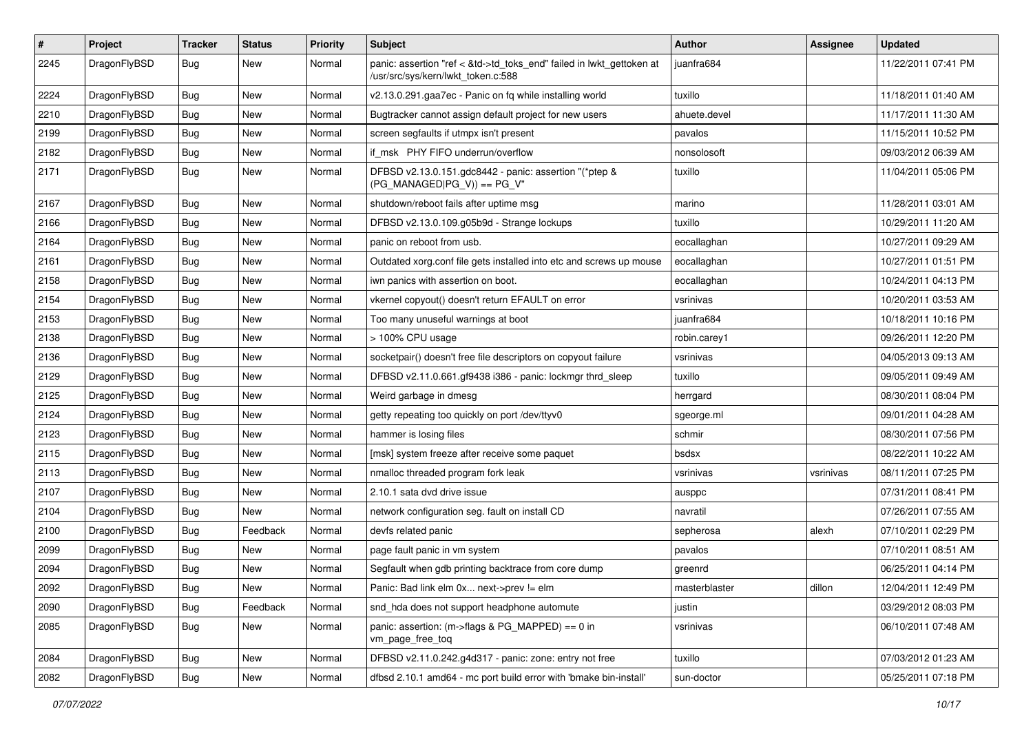| $\sharp$ | Project      | <b>Tracker</b> | <b>Status</b> | <b>Priority</b> | Subject                                                                                                    | <b>Author</b> | <b>Assignee</b> | <b>Updated</b>      |
|----------|--------------|----------------|---------------|-----------------|------------------------------------------------------------------------------------------------------------|---------------|-----------------|---------------------|
| 2245     | DragonFlyBSD | Bug            | New           | Normal          | panic: assertion "ref < &td->td_toks_end" failed in lwkt_gettoken at<br>/usr/src/sys/kern/lwkt_token.c:588 | juanfra684    |                 | 11/22/2011 07:41 PM |
| 2224     | DragonFlyBSD | <b>Bug</b>     | New           | Normal          | v2.13.0.291.gaa7ec - Panic on fq while installing world                                                    | tuxillo       |                 | 11/18/2011 01:40 AM |
| 2210     | DragonFlyBSD | <b>Bug</b>     | <b>New</b>    | Normal          | Bugtracker cannot assign default project for new users                                                     | ahuete.devel  |                 | 11/17/2011 11:30 AM |
| 2199     | DragonFlyBSD | <b>Bug</b>     | New           | Normal          | screen segfaults if utmpx isn't present                                                                    | pavalos       |                 | 11/15/2011 10:52 PM |
| 2182     | DragonFlyBSD | <b>Bug</b>     | <b>New</b>    | Normal          | if msk PHY FIFO underrun/overflow                                                                          | nonsolosoft   |                 | 09/03/2012 06:39 AM |
| 2171     | DragonFlyBSD | <b>Bug</b>     | New           | Normal          | DFBSD v2.13.0.151.gdc8442 - panic: assertion "(*ptep &<br>$(PG_MANAGED PG_V)$ == PG_V"                     | tuxillo       |                 | 11/04/2011 05:06 PM |
| 2167     | DragonFlyBSD | <b>Bug</b>     | New           | Normal          | shutdown/reboot fails after uptime msg                                                                     | marino        |                 | 11/28/2011 03:01 AM |
| 2166     | DragonFlyBSD | <b>Bug</b>     | <b>New</b>    | Normal          | DFBSD v2.13.0.109.g05b9d - Strange lockups                                                                 | tuxillo       |                 | 10/29/2011 11:20 AM |
| 2164     | DragonFlyBSD | <b>Bug</b>     | New           | Normal          | panic on reboot from usb.                                                                                  | eocallaghan   |                 | 10/27/2011 09:29 AM |
| 2161     | DragonFlyBSD | <b>Bug</b>     | <b>New</b>    | Normal          | Outdated xorg.conf file gets installed into etc and screws up mouse                                        | eocallaghan   |                 | 10/27/2011 01:51 PM |
| 2158     | DragonFlyBSD | Bug            | New           | Normal          | iwn panics with assertion on boot.                                                                         | eocallaghan   |                 | 10/24/2011 04:13 PM |
| 2154     | DragonFlyBSD | <b>Bug</b>     | <b>New</b>    | Normal          | vkernel copyout() doesn't return EFAULT on error                                                           | vsrinivas     |                 | 10/20/2011 03:53 AM |
| 2153     | DragonFlyBSD | <b>Bug</b>     | New           | Normal          | Too many unuseful warnings at boot                                                                         | iuanfra684    |                 | 10/18/2011 10:16 PM |
| 2138     | DragonFlyBSD | <b>Bug</b>     | <b>New</b>    | Normal          | > 100% CPU usage                                                                                           | robin.carey1  |                 | 09/26/2011 12:20 PM |
| 2136     | DragonFlyBSD | <b>Bug</b>     | <b>New</b>    | Normal          | socketpair() doesn't free file descriptors on copyout failure                                              | vsrinivas     |                 | 04/05/2013 09:13 AM |
| 2129     | DragonFlyBSD | <b>Bug</b>     | New           | Normal          | DFBSD v2.11.0.661.gf9438 i386 - panic: lockmgr thrd_sleep                                                  | tuxillo       |                 | 09/05/2011 09:49 AM |
| 2125     | DragonFlyBSD | <b>Bug</b>     | <b>New</b>    | Normal          | Weird garbage in dmesg                                                                                     | herrgard      |                 | 08/30/2011 08:04 PM |
| 2124     | DragonFlyBSD | <b>Bug</b>     | New           | Normal          | getty repeating too quickly on port /dev/ttyv0                                                             | sgeorge.ml    |                 | 09/01/2011 04:28 AM |
| 2123     | DragonFlyBSD | <b>Bug</b>     | <b>New</b>    | Normal          | hammer is losing files                                                                                     | schmir        |                 | 08/30/2011 07:56 PM |
| 2115     | DragonFlyBSD | <b>Bug</b>     | New           | Normal          | [msk] system freeze after receive some paquet                                                              | bsdsx         |                 | 08/22/2011 10:22 AM |
| 2113     | DragonFlyBSD | <b>Bug</b>     | New           | Normal          | nmalloc threaded program fork leak                                                                         | vsrinivas     | vsrinivas       | 08/11/2011 07:25 PM |
| 2107     | DragonFlyBSD | <b>Bug</b>     | New           | Normal          | 2.10.1 sata dvd drive issue                                                                                | ausppc        |                 | 07/31/2011 08:41 PM |
| 2104     | DragonFlyBSD | <b>Bug</b>     | New           | Normal          | network configuration seg. fault on install CD                                                             | navratil      |                 | 07/26/2011 07:55 AM |
| 2100     | DragonFlyBSD | Bug            | Feedback      | Normal          | devfs related panic                                                                                        | sepherosa     | alexh           | 07/10/2011 02:29 PM |
| 2099     | DragonFlyBSD | Bug            | New           | Normal          | page fault panic in vm system                                                                              | pavalos       |                 | 07/10/2011 08:51 AM |
| 2094     | DragonFlyBSD | Bug            | New           | Normal          | Segfault when gdb printing backtrace from core dump                                                        | greenrd       |                 | 06/25/2011 04:14 PM |
| 2092     | DragonFlyBSD | Bug            | <b>New</b>    | Normal          | Panic: Bad link elm 0x next->prev != elm                                                                   | masterblaster | dillon          | 12/04/2011 12:49 PM |
| 2090     | DragonFlyBSD | <b>Bug</b>     | Feedback      | Normal          | snd hda does not support headphone automute                                                                | justin        |                 | 03/29/2012 08:03 PM |
| 2085     | DragonFlyBSD | <b>Bug</b>     | New           | Normal          | panic: assertion: (m->flags & PG_MAPPED) == 0 in<br>vm page free tog                                       | vsrinivas     |                 | 06/10/2011 07:48 AM |
| 2084     | DragonFlyBSD | Bug            | New           | Normal          | DFBSD v2.11.0.242.g4d317 - panic: zone: entry not free                                                     | tuxillo       |                 | 07/03/2012 01:23 AM |
| 2082     | DragonFlyBSD | <b>Bug</b>     | New           | Normal          | dfbsd 2.10.1 amd64 - mc port build error with 'bmake bin-install'                                          | sun-doctor    |                 | 05/25/2011 07:18 PM |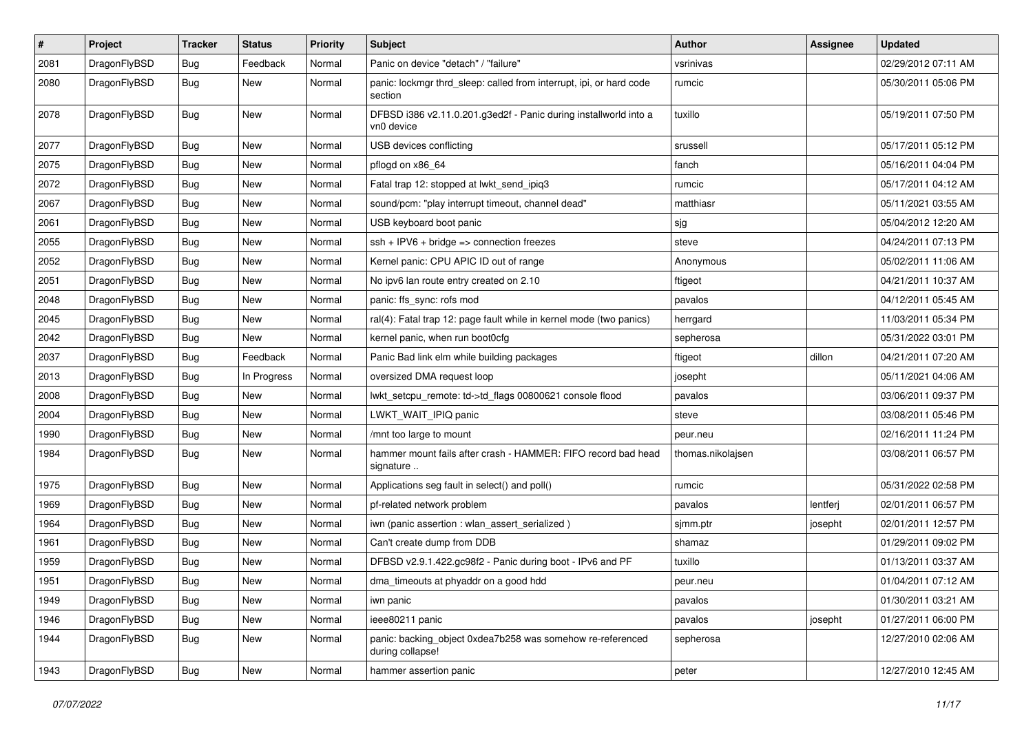| $\pmb{\#}$ | Project      | <b>Tracker</b> | <b>Status</b> | <b>Priority</b> | Subject                                                                        | <b>Author</b>     | <b>Assignee</b> | <b>Updated</b>      |
|------------|--------------|----------------|---------------|-----------------|--------------------------------------------------------------------------------|-------------------|-----------------|---------------------|
| 2081       | DragonFlyBSD | Bug            | Feedback      | Normal          | Panic on device "detach" / "failure"                                           | vsrinivas         |                 | 02/29/2012 07:11 AM |
| 2080       | DragonFlyBSD | Bug            | New           | Normal          | panic: lockmgr thrd_sleep: called from interrupt, ipi, or hard code<br>section | rumcic            |                 | 05/30/2011 05:06 PM |
| 2078       | DragonFlyBSD | Bug            | New           | Normal          | DFBSD i386 v2.11.0.201.g3ed2f - Panic during installworld into a<br>vn0 device | tuxillo           |                 | 05/19/2011 07:50 PM |
| 2077       | DragonFlyBSD | <b>Bug</b>     | New           | Normal          | USB devices conflicting                                                        | srussell          |                 | 05/17/2011 05:12 PM |
| 2075       | DragonFlyBSD | Bug            | New           | Normal          | pflogd on x86_64                                                               | fanch             |                 | 05/16/2011 04:04 PM |
| 2072       | DragonFlyBSD | Bug            | New           | Normal          | Fatal trap 12: stopped at lwkt send ipig3                                      | rumcic            |                 | 05/17/2011 04:12 AM |
| 2067       | DragonFlyBSD | Bug            | <b>New</b>    | Normal          | sound/pcm: "play interrupt timeout, channel dead"                              | matthiasr         |                 | 05/11/2021 03:55 AM |
| 2061       | DragonFlyBSD | Bug            | <b>New</b>    | Normal          | USB keyboard boot panic                                                        | sjg               |                 | 05/04/2012 12:20 AM |
| 2055       | DragonFlyBSD | Bug            | <b>New</b>    | Normal          | $ssh + IPV6 + bridge \Rightarrow connection freezes$                           | steve             |                 | 04/24/2011 07:13 PM |
| 2052       | DragonFlyBSD | Bug            | <b>New</b>    | Normal          | Kernel panic: CPU APIC ID out of range                                         | Anonymous         |                 | 05/02/2011 11:06 AM |
| 2051       | DragonFlyBSD | Bug            | New           | Normal          | No ipv6 lan route entry created on 2.10                                        | ftigeot           |                 | 04/21/2011 10:37 AM |
| 2048       | DragonFlyBSD | <b>Bug</b>     | New           | Normal          | panic: ffs_sync: rofs mod                                                      | pavalos           |                 | 04/12/2011 05:45 AM |
| 2045       | DragonFlyBSD | Bug            | <b>New</b>    | Normal          | ral(4): Fatal trap 12: page fault while in kernel mode (two panics)            | herrgard          |                 | 11/03/2011 05:34 PM |
| 2042       | DragonFlyBSD | Bug            | New           | Normal          | kernel panic, when run boot0cfg                                                | sepherosa         |                 | 05/31/2022 03:01 PM |
| 2037       | DragonFlyBSD | <b>Bug</b>     | Feedback      | Normal          | Panic Bad link elm while building packages                                     | ftigeot           | dillon          | 04/21/2011 07:20 AM |
| 2013       | DragonFlyBSD | Bug            | In Progress   | Normal          | oversized DMA request loop                                                     | josepht           |                 | 05/11/2021 04:06 AM |
| 2008       | DragonFlyBSD | <b>Bug</b>     | New           | Normal          | lwkt_setcpu_remote: td->td_flags 00800621 console flood                        | pavalos           |                 | 03/06/2011 09:37 PM |
| 2004       | DragonFlyBSD | Bug            | <b>New</b>    | Normal          | LWKT_WAIT_IPIQ panic                                                           | steve             |                 | 03/08/2011 05:46 PM |
| 1990       | DragonFlyBSD | Bug            | New           | Normal          | /mnt too large to mount                                                        | peur.neu          |                 | 02/16/2011 11:24 PM |
| 1984       | DragonFlyBSD | Bug            | New           | Normal          | hammer mount fails after crash - HAMMER: FIFO record bad head<br>signature     | thomas.nikolajsen |                 | 03/08/2011 06:57 PM |
| 1975       | DragonFlyBSD | <b>Bug</b>     | <b>New</b>    | Normal          | Applications seg fault in select() and poll()                                  | rumcic            |                 | 05/31/2022 02:58 PM |
| 1969       | DragonFlyBSD | Bug            | <b>New</b>    | Normal          | pf-related network problem                                                     | pavalos           | lentferj        | 02/01/2011 06:57 PM |
| 1964       | DragonFlyBSD | <b>Bug</b>     | New           | Normal          | iwn (panic assertion : wlan_assert_serialized)                                 | sjmm.ptr          | josepht         | 02/01/2011 12:57 PM |
| 1961       | DragonFlyBSD | <b>Bug</b>     | New           | Normal          | Can't create dump from DDB                                                     | shamaz            |                 | 01/29/2011 09:02 PM |
| 1959       | DragonFlyBSD | <b>Bug</b>     | New           | Normal          | DFBSD v2.9.1.422.gc98f2 - Panic during boot - IPv6 and PF                      | tuxillo           |                 | 01/13/2011 03:37 AM |
| 1951       | DragonFlyBSD | Bug            | New           | Normal          | dma_timeouts at phyaddr on a good hdd                                          | peur.neu          |                 | 01/04/2011 07:12 AM |
| 1949       | DragonFlyBSD | <b>Bug</b>     | New           | Normal          | iwn panic                                                                      | pavalos           |                 | 01/30/2011 03:21 AM |
| 1946       | DragonFlyBSD | <b>Bug</b>     | New           | Normal          | ieee80211 panic                                                                | pavalos           | josepht         | 01/27/2011 06:00 PM |
| 1944       | DragonFlyBSD | <b>Bug</b>     | New           | Normal          | panic: backing_object 0xdea7b258 was somehow re-referenced<br>during collapse! | sepherosa         |                 | 12/27/2010 02:06 AM |
| 1943       | DragonFlyBSD | Bug            | New           | Normal          | hammer assertion panic                                                         | peter             |                 | 12/27/2010 12:45 AM |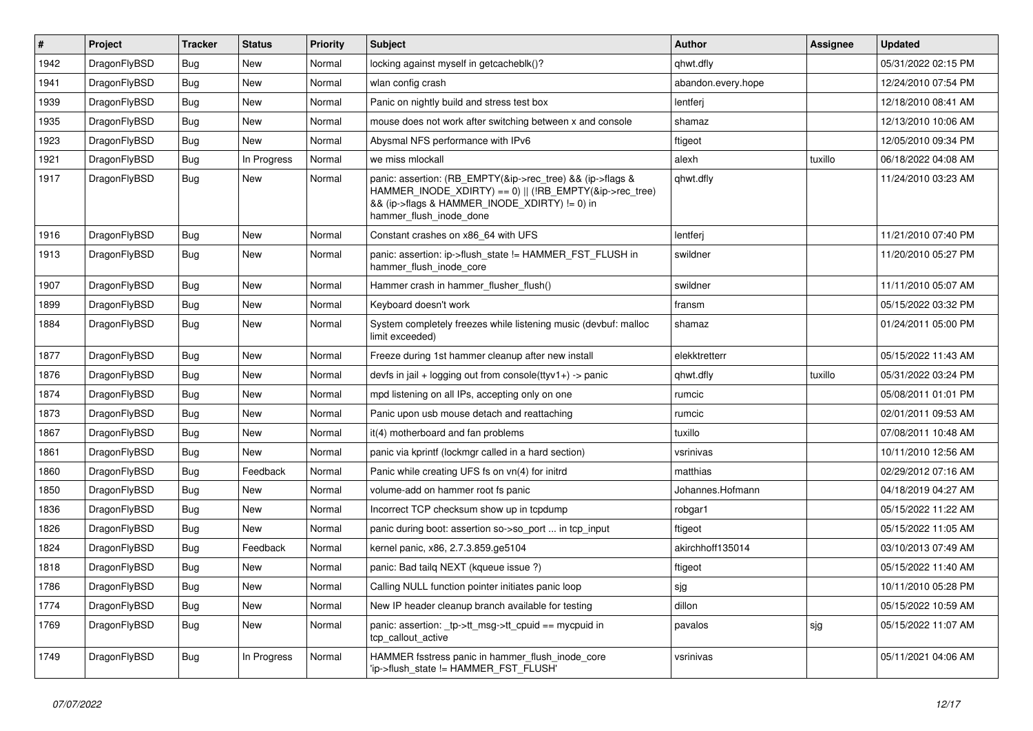| $\vert$ # | Project      | <b>Tracker</b> | <b>Status</b> | <b>Priority</b> | Subject                                                                                                                                                                                           | <b>Author</b>      | Assignee | <b>Updated</b>      |
|-----------|--------------|----------------|---------------|-----------------|---------------------------------------------------------------------------------------------------------------------------------------------------------------------------------------------------|--------------------|----------|---------------------|
| 1942      | DragonFlyBSD | Bug            | New           | Normal          | locking against myself in getcacheblk()?                                                                                                                                                          | qhwt.dfly          |          | 05/31/2022 02:15 PM |
| 1941      | DragonFlyBSD | <b>Bug</b>     | New           | Normal          | wlan config crash                                                                                                                                                                                 | abandon.every.hope |          | 12/24/2010 07:54 PM |
| 1939      | DragonFlyBSD | <b>Bug</b>     | New           | Normal          | Panic on nightly build and stress test box                                                                                                                                                        | lentferj           |          | 12/18/2010 08:41 AM |
| 1935      | DragonFlyBSD | <b>Bug</b>     | New           | Normal          | mouse does not work after switching between x and console                                                                                                                                         | shamaz             |          | 12/13/2010 10:06 AM |
| 1923      | DragonFlyBSD | <b>Bug</b>     | <b>New</b>    | Normal          | Abysmal NFS performance with IPv6                                                                                                                                                                 | ftigeot            |          | 12/05/2010 09:34 PM |
| 1921      | DragonFlyBSD | <b>Bug</b>     | In Progress   | Normal          | we miss mlockall                                                                                                                                                                                  | alexh              | tuxillo  | 06/18/2022 04:08 AM |
| 1917      | DragonFlyBSD | Bug            | New           | Normal          | panic: assertion: (RB_EMPTY(&ip->rec_tree) && (ip->flags &<br>HAMMER_INODE_XDIRTY) == 0)    (!RB_EMPTY(&ip->rec_tree)<br>&& (ip->flags & HAMMER_INODE_XDIRTY) != 0) in<br>hammer_flush_inode_done | qhwt.dfly          |          | 11/24/2010 03:23 AM |
| 1916      | DragonFlyBSD | <b>Bug</b>     | New           | Normal          | Constant crashes on x86_64 with UFS                                                                                                                                                               | lentferj           |          | 11/21/2010 07:40 PM |
| 1913      | DragonFlyBSD | Bug            | New           | Normal          | panic: assertion: ip->flush_state != HAMMER_FST_FLUSH in<br>hammer_flush_inode_core                                                                                                               | swildner           |          | 11/20/2010 05:27 PM |
| 1907      | DragonFlyBSD | Bug            | <b>New</b>    | Normal          | Hammer crash in hammer_flusher_flush()                                                                                                                                                            | swildner           |          | 11/11/2010 05:07 AM |
| 1899      | DragonFlyBSD | Bug            | New           | Normal          | Keyboard doesn't work                                                                                                                                                                             | fransm             |          | 05/15/2022 03:32 PM |
| 1884      | DragonFlyBSD | Bug            | New           | Normal          | System completely freezes while listening music (devbuf: malloc<br>limit exceeded)                                                                                                                | shamaz             |          | 01/24/2011 05:00 PM |
| 1877      | DragonFlyBSD | <b>Bug</b>     | <b>New</b>    | Normal          | Freeze during 1st hammer cleanup after new install                                                                                                                                                | elekktretterr      |          | 05/15/2022 11:43 AM |
| 1876      | DragonFlyBSD | <b>Bug</b>     | New           | Normal          | devfs in jail + logging out from console(ttyv1+) -> panic                                                                                                                                         | qhwt.dfly          | tuxillo  | 05/31/2022 03:24 PM |
| 1874      | DragonFlyBSD | <b>Bug</b>     | New           | Normal          | mpd listening on all IPs, accepting only on one                                                                                                                                                   | rumcic             |          | 05/08/2011 01:01 PM |
| 1873      | DragonFlyBSD | <b>Bug</b>     | New           | Normal          | Panic upon usb mouse detach and reattaching                                                                                                                                                       | rumcic             |          | 02/01/2011 09:53 AM |
| 1867      | DragonFlyBSD | Bug            | New           | Normal          | it(4) motherboard and fan problems                                                                                                                                                                | tuxillo            |          | 07/08/2011 10:48 AM |
| 1861      | DragonFlyBSD | Bug            | New           | Normal          | panic via kprintf (lockmgr called in a hard section)                                                                                                                                              | vsrinivas          |          | 10/11/2010 12:56 AM |
| 1860      | DragonFlyBSD | Bug            | Feedback      | Normal          | Panic while creating UFS fs on vn(4) for initrd                                                                                                                                                   | matthias           |          | 02/29/2012 07:16 AM |
| 1850      | DragonFlyBSD | <b>Bug</b>     | New           | Normal          | volume-add on hammer root fs panic                                                                                                                                                                | Johannes.Hofmann   |          | 04/18/2019 04:27 AM |
| 1836      | DragonFlyBSD | <b>Bug</b>     | <b>New</b>    | Normal          | Incorrect TCP checksum show up in tcpdump                                                                                                                                                         | robgar1            |          | 05/15/2022 11:22 AM |
| 1826      | DragonFlyBSD | Bug            | <b>New</b>    | Normal          | panic during boot: assertion so->so_port  in tcp_input                                                                                                                                            | ftigeot            |          | 05/15/2022 11:05 AM |
| 1824      | DragonFlyBSD | <b>Bug</b>     | Feedback      | Normal          | kernel panic, x86, 2.7.3.859.ge5104                                                                                                                                                               | akirchhoff135014   |          | 03/10/2013 07:49 AM |
| 1818      | DragonFlyBSD | <b>Bug</b>     | New           | Normal          | panic: Bad tailq NEXT (kqueue issue ?)                                                                                                                                                            | ftigeot            |          | 05/15/2022 11:40 AM |
| 1786      | DragonFlyBSD | <b>Bug</b>     | New           | Normal          | Calling NULL function pointer initiates panic loop                                                                                                                                                | sjg                |          | 10/11/2010 05:28 PM |
| 1774      | DragonFlyBSD | <b>Bug</b>     | New           | Normal          | New IP header cleanup branch available for testing                                                                                                                                                | dillon             |          | 05/15/2022 10:59 AM |
| 1769      | DragonFlyBSD | <b>Bug</b>     | New           | Normal          | panic: assertion: _tp->tt_msg->tt_cpuid == mycpuid in<br>tcp_callout_active                                                                                                                       | pavalos            | sjg      | 05/15/2022 11:07 AM |
| 1749      | DragonFlyBSD | Bug            | In Progress   | Normal          | HAMMER fsstress panic in hammer flush inode core<br>'ip->flush state != HAMMER FST FLUSH'                                                                                                         | vsrinivas          |          | 05/11/2021 04:06 AM |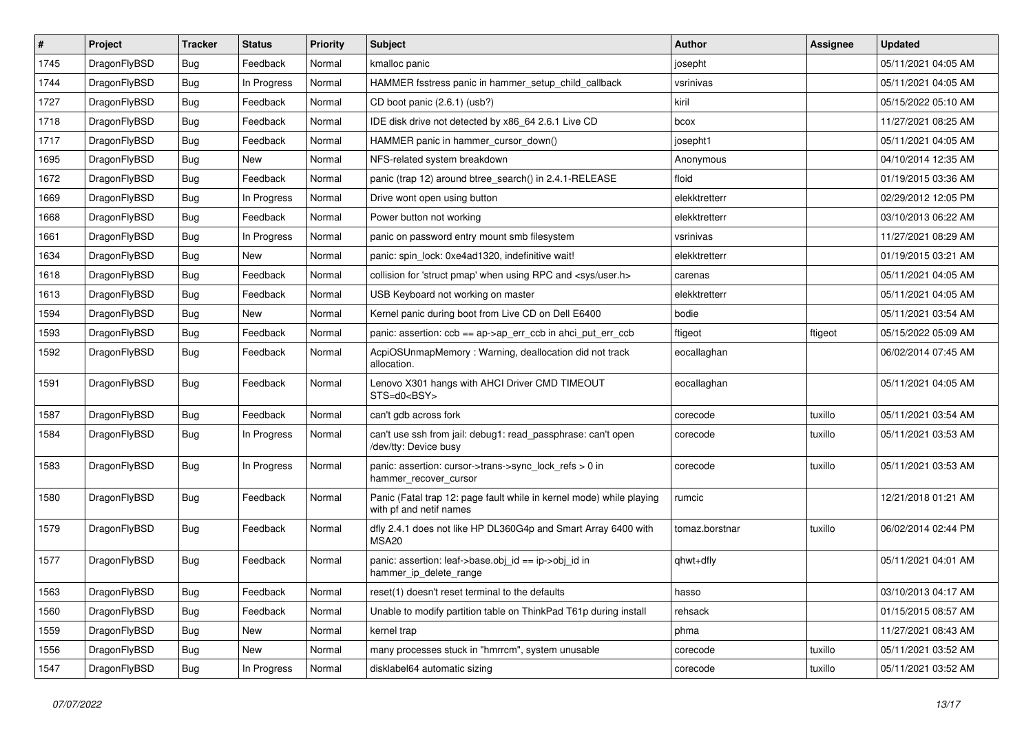| $\vert$ # | Project      | <b>Tracker</b> | <b>Status</b> | <b>Priority</b> | Subject                                                                                         | <b>Author</b>  | <b>Assignee</b> | <b>Updated</b>      |
|-----------|--------------|----------------|---------------|-----------------|-------------------------------------------------------------------------------------------------|----------------|-----------------|---------------------|
| 1745      | DragonFlyBSD | <b>Bug</b>     | Feedback      | Normal          | kmalloc panic                                                                                   | josepht        |                 | 05/11/2021 04:05 AM |
| 1744      | DragonFlyBSD | <b>Bug</b>     | In Progress   | Normal          | HAMMER fsstress panic in hammer_setup_child_callback                                            | vsrinivas      |                 | 05/11/2021 04:05 AM |
| 1727      | DragonFlyBSD | <b>Bug</b>     | Feedback      | Normal          | CD boot panic (2.6.1) (usb?)                                                                    | kiril          |                 | 05/15/2022 05:10 AM |
| 1718      | DragonFlyBSD | <b>Bug</b>     | Feedback      | Normal          | IDE disk drive not detected by x86_64 2.6.1 Live CD                                             | bcox           |                 | 11/27/2021 08:25 AM |
| 1717      | DragonFlyBSD | <b>Bug</b>     | Feedback      | Normal          | HAMMER panic in hammer cursor down()                                                            | josepht1       |                 | 05/11/2021 04:05 AM |
| 1695      | DragonFlyBSD | <b>Bug</b>     | New           | Normal          | NFS-related system breakdown                                                                    | Anonymous      |                 | 04/10/2014 12:35 AM |
| 1672      | DragonFlyBSD | <b>Bug</b>     | Feedback      | Normal          | panic (trap 12) around btree_search() in 2.4.1-RELEASE                                          | floid          |                 | 01/19/2015 03:36 AM |
| 1669      | DragonFlyBSD | <b>Bug</b>     | In Progress   | Normal          | Drive wont open using button                                                                    | elekktretterr  |                 | 02/29/2012 12:05 PM |
| 1668      | DragonFlyBSD | <b>Bug</b>     | Feedback      | Normal          | Power button not working                                                                        | elekktretterr  |                 | 03/10/2013 06:22 AM |
| 1661      | DragonFlyBSD | <b>Bug</b>     | In Progress   | Normal          | panic on password entry mount smb filesystem                                                    | vsrinivas      |                 | 11/27/2021 08:29 AM |
| 1634      | DragonFlyBSD | <b>Bug</b>     | New           | Normal          | panic: spin lock: 0xe4ad1320, indefinitive wait!                                                | elekktretterr  |                 | 01/19/2015 03:21 AM |
| 1618      | DragonFlyBSD | <b>Bug</b>     | Feedback      | Normal          | collision for 'struct pmap' when using RPC and <sys user.h=""></sys>                            | carenas        |                 | 05/11/2021 04:05 AM |
| 1613      | DragonFlyBSD | <b>Bug</b>     | Feedback      | Normal          | USB Keyboard not working on master                                                              | elekktretterr  |                 | 05/11/2021 04:05 AM |
| 1594      | DragonFlyBSD | Bug            | New           | Normal          | Kernel panic during boot from Live CD on Dell E6400                                             | bodie          |                 | 05/11/2021 03:54 AM |
| 1593      | DragonFlyBSD | Bug            | Feedback      | Normal          | panic: assertion: ccb == ap->ap_err_ccb in ahci_put_err_ccb                                     | ftigeot        | ftigeot         | 05/15/2022 05:09 AM |
| 1592      | DragonFlyBSD | Bug            | Feedback      | Normal          | AcpiOSUnmapMemory: Warning, deallocation did not track<br>allocation.                           | eocallaghan    |                 | 06/02/2014 07:45 AM |
| 1591      | DragonFlyBSD | <b>Bug</b>     | Feedback      | Normal          | Lenovo X301 hangs with AHCI Driver CMD TIMEOUT<br>STS=d0 <bsy></bsy>                            | eocallaghan    |                 | 05/11/2021 04:05 AM |
| 1587      | DragonFlyBSD | Bug            | Feedback      | Normal          | can't gdb across fork                                                                           | corecode       | tuxillo         | 05/11/2021 03:54 AM |
| 1584      | DragonFlyBSD | Bug            | In Progress   | Normal          | can't use ssh from jail: debug1: read passphrase: can't open<br>/dev/tty: Device busy           | corecode       | tuxillo         | 05/11/2021 03:53 AM |
| 1583      | DragonFlyBSD | Bug            | In Progress   | Normal          | panic: assertion: cursor->trans->sync_lock_refs > 0 in<br>hammer recover cursor                 | corecode       | tuxillo         | 05/11/2021 03:53 AM |
| 1580      | DragonFlyBSD | Bug            | Feedback      | Normal          | Panic (Fatal trap 12: page fault while in kernel mode) while playing<br>with pf and netif names | rumcic         |                 | 12/21/2018 01:21 AM |
| 1579      | DragonFlyBSD | Bug            | Feedback      | Normal          | dfly 2.4.1 does not like HP DL360G4p and Smart Array 6400 with<br>MSA20                         | tomaz.borstnar | tuxillo         | 06/02/2014 02:44 PM |
| 1577      | DragonFlyBSD | <b>Bug</b>     | Feedback      | Normal          | panic: assertion: leaf->base.obj_id == ip->obj_id in<br>hammer_ip_delete_range                  | qhwt+dfly      |                 | 05/11/2021 04:01 AM |
| 1563      | DragonFlyBSD | <b>Bug</b>     | Feedback      | Normal          | reset(1) doesn't reset terminal to the defaults                                                 | hasso          |                 | 03/10/2013 04:17 AM |
| 1560      | DragonFlyBSD | <b>Bug</b>     | Feedback      | Normal          | Unable to modify partition table on ThinkPad T61p during install                                | rehsack        |                 | 01/15/2015 08:57 AM |
| 1559      | DragonFlyBSD | <b>Bug</b>     | <b>New</b>    | Normal          | kernel trap                                                                                     | phma           |                 | 11/27/2021 08:43 AM |
| 1556      | DragonFlyBSD | <b>Bug</b>     | New           | Normal          | many processes stuck in "hmrrcm", system unusable                                               | corecode       | tuxillo         | 05/11/2021 03:52 AM |
| 1547      | DragonFlyBSD | <b>Bug</b>     | In Progress   | Normal          | disklabel64 automatic sizing                                                                    | corecode       | tuxillo         | 05/11/2021 03:52 AM |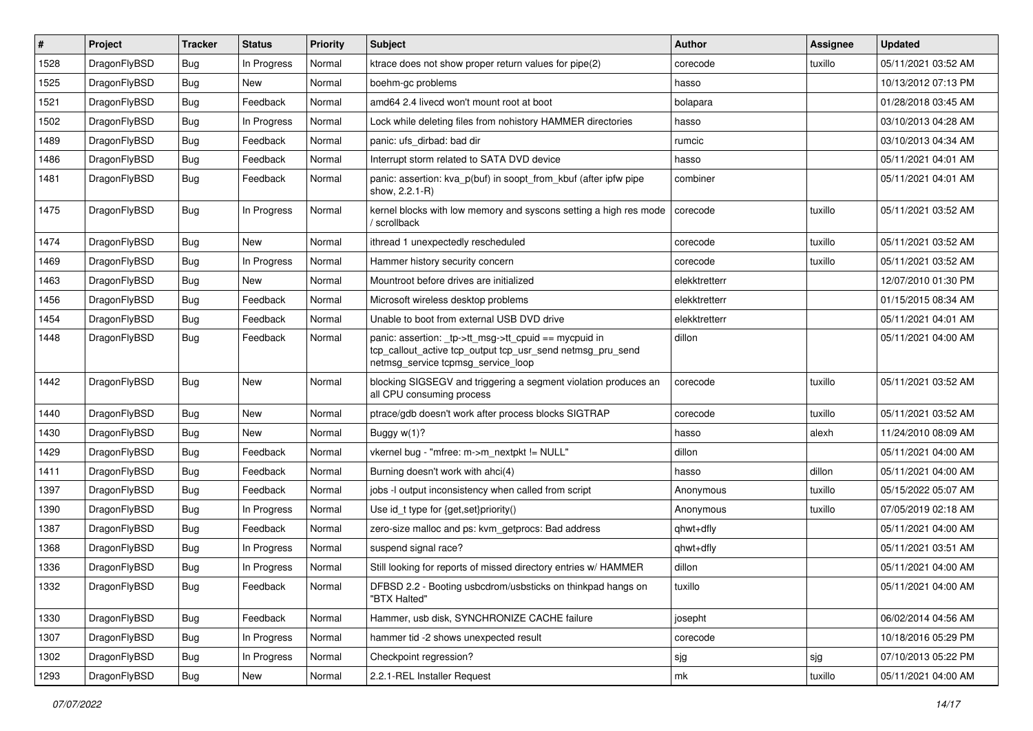| ∦    | Project      | <b>Tracker</b> | <b>Status</b> | <b>Priority</b> | <b>Subject</b>                                                                                                                                           | <b>Author</b> | <b>Assignee</b> | <b>Updated</b>      |
|------|--------------|----------------|---------------|-----------------|----------------------------------------------------------------------------------------------------------------------------------------------------------|---------------|-----------------|---------------------|
| 1528 | DragonFlyBSD | <b>Bug</b>     | In Progress   | Normal          | ktrace does not show proper return values for pipe(2)                                                                                                    | corecode      | tuxillo         | 05/11/2021 03:52 AM |
| 1525 | DragonFlyBSD | <b>Bug</b>     | <b>New</b>    | Normal          | boehm-gc problems                                                                                                                                        | hasso         |                 | 10/13/2012 07:13 PM |
| 1521 | DragonFlyBSD | <b>Bug</b>     | Feedback      | Normal          | amd64 2.4 livecd won't mount root at boot                                                                                                                | bolapara      |                 | 01/28/2018 03:45 AM |
| 1502 | DragonFlyBSD | Bug            | In Progress   | Normal          | Lock while deleting files from nohistory HAMMER directories                                                                                              | hasso         |                 | 03/10/2013 04:28 AM |
| 1489 | DragonFlyBSD | <b>Bug</b>     | Feedback      | Normal          | panic: ufs dirbad: bad dir                                                                                                                               | rumcic        |                 | 03/10/2013 04:34 AM |
| 1486 | DragonFlyBSD | <b>Bug</b>     | Feedback      | Normal          | Interrupt storm related to SATA DVD device                                                                                                               | hasso         |                 | 05/11/2021 04:01 AM |
| 1481 | DragonFlyBSD | Bug            | Feedback      | Normal          | panic: assertion: kva_p(buf) in soopt_from_kbuf (after ipfw pipe<br>show, 2.2.1-R)                                                                       | combiner      |                 | 05/11/2021 04:01 AM |
| 1475 | DragonFlyBSD | Bug            | In Progress   | Normal          | kernel blocks with low memory and syscons setting a high res mode<br>' scrollback                                                                        | corecode      | tuxillo         | 05/11/2021 03:52 AM |
| 1474 | DragonFlyBSD | <b>Bug</b>     | <b>New</b>    | Normal          | ithread 1 unexpectedly rescheduled                                                                                                                       | corecode      | tuxillo         | 05/11/2021 03:52 AM |
| 1469 | DragonFlyBSD | Bug            | In Progress   | Normal          | Hammer history security concern                                                                                                                          | corecode      | tuxillo         | 05/11/2021 03:52 AM |
| 1463 | DragonFlyBSD | <b>Bug</b>     | <b>New</b>    | Normal          | Mountroot before drives are initialized                                                                                                                  | elekktretterr |                 | 12/07/2010 01:30 PM |
| 1456 | DragonFlyBSD | <b>Bug</b>     | Feedback      | Normal          | Microsoft wireless desktop problems                                                                                                                      | elekktretterr |                 | 01/15/2015 08:34 AM |
| 1454 | DragonFlyBSD | Bug            | Feedback      | Normal          | Unable to boot from external USB DVD drive                                                                                                               | elekktretterr |                 | 05/11/2021 04:01 AM |
| 1448 | DragonFlyBSD | <b>Bug</b>     | Feedback      | Normal          | panic: assertion: tp->tt_msg->tt_cpuid == mycpuid in<br>tcp_callout_active tcp_output tcp_usr_send netmsg_pru_send<br>netmsg_service tcpmsg_service_loop | dillon        |                 | 05/11/2021 04:00 AM |
| 1442 | DragonFlyBSD | <b>Bug</b>     | <b>New</b>    | Normal          | blocking SIGSEGV and triggering a segment violation produces an<br>all CPU consuming process                                                             | corecode      | tuxillo         | 05/11/2021 03:52 AM |
| 1440 | DragonFlyBSD | <b>Bug</b>     | <b>New</b>    | Normal          | ptrace/gdb doesn't work after process blocks SIGTRAP                                                                                                     | corecode      | tuxillo         | 05/11/2021 03:52 AM |
| 1430 | DragonFlyBSD | <b>Bug</b>     | <b>New</b>    | Normal          | Buggy $w(1)$ ?                                                                                                                                           | hasso         | alexh           | 11/24/2010 08:09 AM |
| 1429 | DragonFlyBSD | Bug            | Feedback      | Normal          | vkernel bug - "mfree: m->m_nextpkt != NULL"                                                                                                              | dillon        |                 | 05/11/2021 04:00 AM |
| 1411 | DragonFlyBSD | <b>Bug</b>     | Feedback      | Normal          | Burning doesn't work with ahci(4)                                                                                                                        | hasso         | dillon          | 05/11/2021 04:00 AM |
| 1397 | DragonFlyBSD | <b>Bug</b>     | Feedback      | Normal          | jobs -I output inconsistency when called from script                                                                                                     | Anonymous     | tuxillo         | 05/15/2022 05:07 AM |
| 1390 | DragonFlyBSD | <b>Bug</b>     | In Progress   | Normal          | Use id_t type for {get,set}priority()                                                                                                                    | Anonymous     | tuxillo         | 07/05/2019 02:18 AM |
| 1387 | DragonFlyBSD | <b>Bug</b>     | Feedback      | Normal          | zero-size malloc and ps: kvm_getprocs: Bad address                                                                                                       | qhwt+dfly     |                 | 05/11/2021 04:00 AM |
| 1368 | DragonFlyBSD | Bug            | In Progress   | Normal          | suspend signal race?                                                                                                                                     | qhwt+dfly     |                 | 05/11/2021 03:51 AM |
| 1336 | DragonFlyBSD | <b>Bug</b>     | In Progress   | Normal          | Still looking for reports of missed directory entries w/ HAMMER                                                                                          | dillon        |                 | 05/11/2021 04:00 AM |
| 1332 | DragonFlyBSD | <b>Bug</b>     | Feedback      | Normal          | DFBSD 2.2 - Booting usbcdrom/usbsticks on thinkpad hangs on<br>"BTX Halted"                                                                              | tuxillo       |                 | 05/11/2021 04:00 AM |
| 1330 | DragonFlyBSD | <b>Bug</b>     | Feedback      | Normal          | Hammer, usb disk, SYNCHRONIZE CACHE failure                                                                                                              | josepht       |                 | 06/02/2014 04:56 AM |
| 1307 | DragonFlyBSD | <b>Bug</b>     | In Progress   | Normal          | hammer tid -2 shows unexpected result                                                                                                                    | corecode      |                 | 10/18/2016 05:29 PM |
| 1302 | DragonFlyBSD | Bug            | In Progress   | Normal          | Checkpoint regression?                                                                                                                                   | sjg           | sjg             | 07/10/2013 05:22 PM |
| 1293 | DragonFlyBSD | <b>Bug</b>     | New           | Normal          | 2.2.1-REL Installer Request                                                                                                                              | mk            | tuxillo         | 05/11/2021 04:00 AM |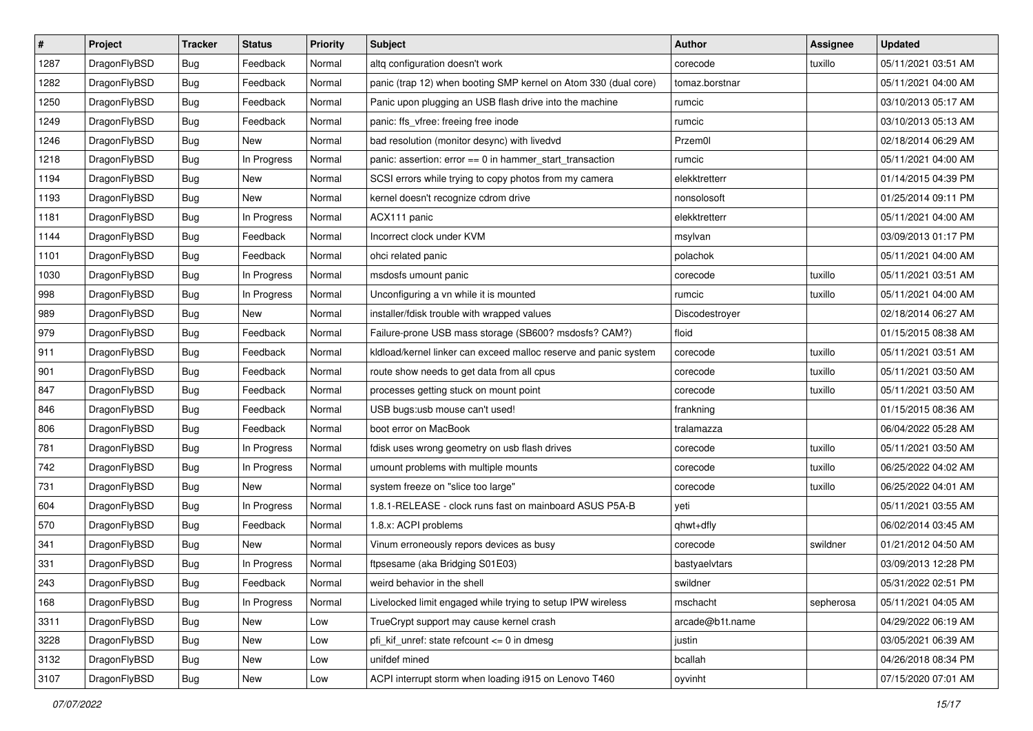| $\sharp$ | Project      | <b>Tracker</b> | <b>Status</b> | <b>Priority</b> | <b>Subject</b>                                                   | <b>Author</b>   | <b>Assignee</b> | <b>Updated</b>      |
|----------|--------------|----------------|---------------|-----------------|------------------------------------------------------------------|-----------------|-----------------|---------------------|
| 1287     | DragonFlyBSD | Bug            | Feedback      | Normal          | altq configuration doesn't work                                  | corecode        | tuxillo         | 05/11/2021 03:51 AM |
| 1282     | DragonFlyBSD | Bug            | Feedback      | Normal          | panic (trap 12) when booting SMP kernel on Atom 330 (dual core)  | tomaz.borstnar  |                 | 05/11/2021 04:00 AM |
| 1250     | DragonFlyBSD | Bug            | Feedback      | Normal          | Panic upon plugging an USB flash drive into the machine          | rumcic          |                 | 03/10/2013 05:17 AM |
| 1249     | DragonFlyBSD | <b>Bug</b>     | Feedback      | Normal          | panic: ffs_vfree: freeing free inode                             | rumcic          |                 | 03/10/2013 05:13 AM |
| 1246     | DragonFlyBSD | Bug            | <b>New</b>    | Normal          | bad resolution (monitor desync) with livedvd                     | Przem0l         |                 | 02/18/2014 06:29 AM |
| 1218     | DragonFlyBSD | <b>Bug</b>     | In Progress   | Normal          | panic: assertion: $error == 0$ in hammer start transaction       | rumcic          |                 | 05/11/2021 04:00 AM |
| 1194     | DragonFlyBSD | Bug            | New           | Normal          | SCSI errors while trying to copy photos from my camera           | elekktretterr   |                 | 01/14/2015 04:39 PM |
| 1193     | DragonFlyBSD | Bug            | New           | Normal          | kernel doesn't recognize cdrom drive                             | nonsolosoft     |                 | 01/25/2014 09:11 PM |
| 1181     | DragonFlyBSD | <b>Bug</b>     | In Progress   | Normal          | ACX111 panic                                                     | elekktretterr   |                 | 05/11/2021 04:00 AM |
| 1144     | DragonFlyBSD | Bug            | Feedback      | Normal          | Incorrect clock under KVM                                        | msylvan         |                 | 03/09/2013 01:17 PM |
| 1101     | DragonFlyBSD | <b>Bug</b>     | Feedback      | Normal          | ohci related panic                                               | polachok        |                 | 05/11/2021 04:00 AM |
| 1030     | DragonFlyBSD | <b>Bug</b>     | In Progress   | Normal          | msdosfs umount panic                                             | corecode        | tuxillo         | 05/11/2021 03:51 AM |
| 998      | DragonFlyBSD | <b>Bug</b>     | In Progress   | Normal          | Unconfiguring a vn while it is mounted                           | rumcic          | tuxillo         | 05/11/2021 04:00 AM |
| 989      | DragonFlyBSD | <b>Bug</b>     | New           | Normal          | installer/fdisk trouble with wrapped values                      | Discodestroyer  |                 | 02/18/2014 06:27 AM |
| 979      | DragonFlyBSD | Bug            | Feedback      | Normal          | Failure-prone USB mass storage (SB600? msdosfs? CAM?)            | floid           |                 | 01/15/2015 08:38 AM |
| 911      | DragonFlyBSD | <b>Bug</b>     | Feedback      | Normal          | kldload/kernel linker can exceed malloc reserve and panic system | corecode        | tuxillo         | 05/11/2021 03:51 AM |
| 901      | DragonFlyBSD | <b>Bug</b>     | Feedback      | Normal          | route show needs to get data from all cpus                       | corecode        | tuxillo         | 05/11/2021 03:50 AM |
| 847      | DragonFlyBSD | Bug            | Feedback      | Normal          | processes getting stuck on mount point                           | corecode        | tuxillo         | 05/11/2021 03:50 AM |
| 846      | DragonFlyBSD | <b>Bug</b>     | Feedback      | Normal          | USB bugs:usb mouse can't used!                                   | frankning       |                 | 01/15/2015 08:36 AM |
| 806      | DragonFlyBSD | <b>Bug</b>     | Feedback      | Normal          | boot error on MacBook                                            | tralamazza      |                 | 06/04/2022 05:28 AM |
| 781      | DragonFlyBSD | <b>Bug</b>     | In Progress   | Normal          | fdisk uses wrong geometry on usb flash drives                    | corecode        | tuxillo         | 05/11/2021 03:50 AM |
| 742      | DragonFlyBSD | <b>Bug</b>     | In Progress   | Normal          | umount problems with multiple mounts                             | corecode        | tuxillo         | 06/25/2022 04:02 AM |
| 731      | DragonFlyBSD | Bug            | New           | Normal          | system freeze on "slice too large"                               | corecode        | tuxillo         | 06/25/2022 04:01 AM |
| 604      | DragonFlyBSD | <b>Bug</b>     | In Progress   | Normal          | 1.8.1-RELEASE - clock runs fast on mainboard ASUS P5A-B          | yeti            |                 | 05/11/2021 03:55 AM |
| 570      | DragonFlyBSD | <b>Bug</b>     | Feedback      | Normal          | 1.8.x: ACPI problems                                             | qhwt+dfly       |                 | 06/02/2014 03:45 AM |
| 341      | DragonFlyBSD | Bug            | New           | Normal          | Vinum erroneously repors devices as busy                         | corecode        | swildner        | 01/21/2012 04:50 AM |
| 331      | DragonFlyBSD | <b>Bug</b>     | In Progress   | Normal          | ftpsesame (aka Bridging S01E03)                                  | bastyaelvtars   |                 | 03/09/2013 12:28 PM |
| 243      | DragonFlyBSD | <b>Bug</b>     | Feedback      | Normal          | weird behavior in the shell                                      | swildner        |                 | 05/31/2022 02:51 PM |
| 168      | DragonFlyBSD | Bug            | In Progress   | Normal          | Livelocked limit engaged while trying to setup IPW wireless      | mschacht        | sepherosa       | 05/11/2021 04:05 AM |
| 3311     | DragonFlyBSD | <b>Bug</b>     | New           | Low             | TrueCrypt support may cause kernel crash                         | arcade@b1t.name |                 | 04/29/2022 06:19 AM |
| 3228     | DragonFlyBSD | <b>Bug</b>     | <b>New</b>    | Low             | pfi_kif_unref: state refcount <= 0 in dmesg                      | justin          |                 | 03/05/2021 06:39 AM |
| 3132     | DragonFlyBSD | <b>Bug</b>     | <b>New</b>    | Low             | unifdef mined                                                    | bcallah         |                 | 04/26/2018 08:34 PM |
| 3107     | DragonFlyBSD | <b>Bug</b>     | New           | Low             | ACPI interrupt storm when loading i915 on Lenovo T460            | oyvinht         |                 | 07/15/2020 07:01 AM |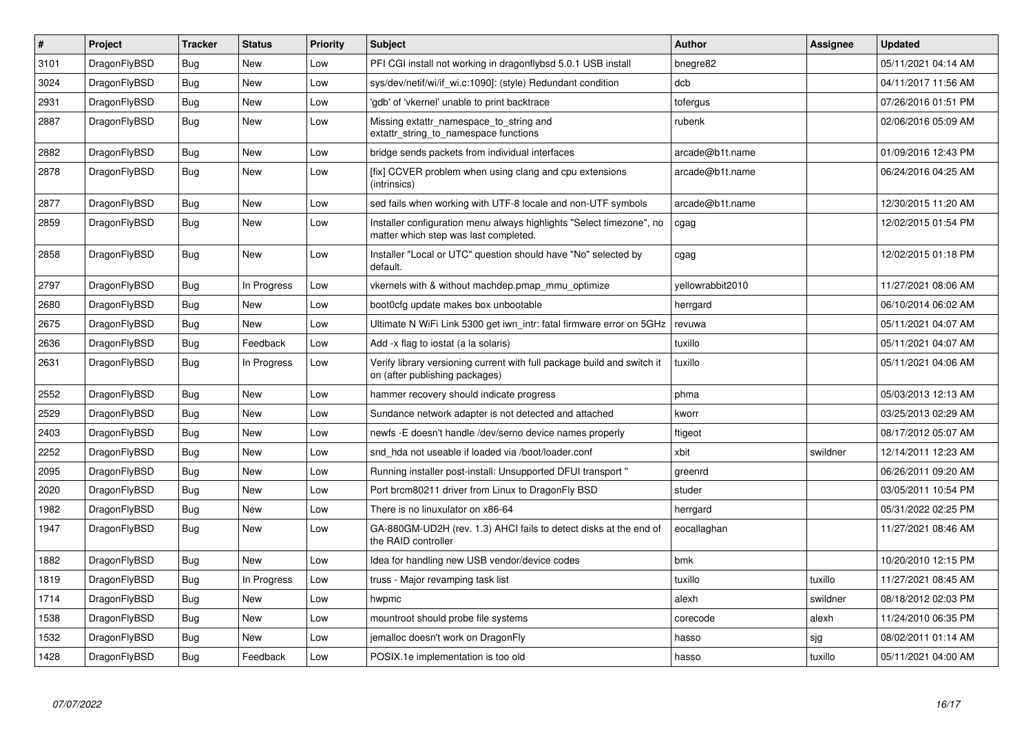| $\vert$ # | Project      | <b>Tracker</b> | <b>Status</b> | <b>Priority</b> | <b>Subject</b>                                                                                                | <b>Author</b>    | Assignee | <b>Updated</b>      |
|-----------|--------------|----------------|---------------|-----------------|---------------------------------------------------------------------------------------------------------------|------------------|----------|---------------------|
| 3101      | DragonFlyBSD | <b>Bug</b>     | <b>New</b>    | Low             | PFI CGI install not working in dragonflybsd 5.0.1 USB install                                                 | bnegre82         |          | 05/11/2021 04:14 AM |
| 3024      | DragonFlyBSD | Bug            | <b>New</b>    | Low             | sys/dev/netif/wi/if_wi.c:1090]: (style) Redundant condition                                                   | dcb              |          | 04/11/2017 11:56 AM |
| 2931      | DragonFlyBSD | Bug            | <b>New</b>    | Low             | gdb' of 'vkernel' unable to print backtrace                                                                   | tofergus         |          | 07/26/2016 01:51 PM |
| 2887      | DragonFlyBSD | <b>Bug</b>     | <b>New</b>    | Low             | Missing extattr_namespace_to_string and<br>extattr_string_to_namespace functions                              | rubenk           |          | 02/06/2016 05:09 AM |
| 2882      | DragonFlyBSD | <b>Bug</b>     | <b>New</b>    | Low             | bridge sends packets from individual interfaces                                                               | arcade@b1t.name  |          | 01/09/2016 12:43 PM |
| 2878      | DragonFlyBSD | Bug            | <b>New</b>    | Low             | [fix] CCVER problem when using clang and cpu extensions<br>(intrinsics)                                       | arcade@b1t.name  |          | 06/24/2016 04:25 AM |
| 2877      | DragonFlyBSD | <b>Bug</b>     | <b>New</b>    | Low             | sed fails when working with UTF-8 locale and non-UTF symbols                                                  | arcade@b1t.name  |          | 12/30/2015 11:20 AM |
| 2859      | DragonFlyBSD | Bug            | <b>New</b>    | Low             | Installer configuration menu always highlights "Select timezone", no<br>matter which step was last completed. | cgag             |          | 12/02/2015 01:54 PM |
| 2858      | DragonFlyBSD | <b>Bug</b>     | <b>New</b>    | Low             | Installer "Local or UTC" question should have "No" selected by<br>default.                                    | cgag             |          | 12/02/2015 01:18 PM |
| 2797      | DragonFlyBSD | <b>Bug</b>     | In Progress   | Low             | vkernels with & without machdep.pmap_mmu_optimize                                                             | yellowrabbit2010 |          | 11/27/2021 08:06 AM |
| 2680      | DragonFlyBSD | Bug            | <b>New</b>    | Low             | boot0cfg update makes box unbootable                                                                          | herrgard         |          | 06/10/2014 06:02 AM |
| 2675      | DragonFlyBSD | Bug            | New           | Low             | Ultimate N WiFi Link 5300 get iwn intr: fatal firmware error on 5GHz                                          | revuwa           |          | 05/11/2021 04:07 AM |
| 2636      | DragonFlyBSD | <b>Bug</b>     | Feedback      | Low             | Add -x flag to iostat (a la solaris)                                                                          | tuxillo          |          | 05/11/2021 04:07 AM |
| 2631      | DragonFlyBSD | Bug            | In Progress   | Low             | Verify library versioning current with full package build and switch it<br>on (after publishing packages)     | tuxillo          |          | 05/11/2021 04:06 AM |
| 2552      | DragonFlyBSD | <b>Bug</b>     | New           | Low             | hammer recovery should indicate progress                                                                      | phma             |          | 05/03/2013 12:13 AM |
| 2529      | DragonFlyBSD | <b>Bug</b>     | <b>New</b>    | Low             | Sundance network adapter is not detected and attached                                                         | kworr            |          | 03/25/2013 02:29 AM |
| 2403      | DragonFlyBSD | Bug            | <b>New</b>    | Low             | newfs -E doesn't handle /dev/serno device names properly                                                      | ftigeot          |          | 08/17/2012 05:07 AM |
| 2252      | DragonFlyBSD | <b>Bug</b>     | <b>New</b>    | Low             | snd hda not useable if loaded via /boot/loader.conf                                                           | xbit             | swildner | 12/14/2011 12:23 AM |
| 2095      | DragonFlyBSD | <b>Bug</b>     | <b>New</b>    | Low             | Running installer post-install: Unsupported DFUI transport "                                                  | greenrd          |          | 06/26/2011 09:20 AM |
| 2020      | DragonFlyBSD | <b>Bug</b>     | <b>New</b>    | Low             | Port brcm80211 driver from Linux to DragonFly BSD                                                             | studer           |          | 03/05/2011 10:54 PM |
| 1982      | DragonFlyBSD | <b>Bug</b>     | <b>New</b>    | Low             | There is no linuxulator on x86-64                                                                             | herrgard         |          | 05/31/2022 02:25 PM |
| 1947      | DragonFlyBSD | Bug            | New           | Low             | GA-880GM-UD2H (rev. 1.3) AHCI fails to detect disks at the end of<br>the RAID controller                      | eocallaghan      |          | 11/27/2021 08:46 AM |
| 1882      | DragonFlyBSD | Bug            | <b>New</b>    | Low             | Idea for handling new USB vendor/device codes                                                                 | bmk              |          | 10/20/2010 12:15 PM |
| 1819      | DragonFlyBSD | <b>Bug</b>     | In Progress   | Low             | truss - Major revamping task list                                                                             | tuxillo          | tuxillo  | 11/27/2021 08:45 AM |
| 1714      | DragonFlyBSD | Bug            | <b>New</b>    | Low             | hwpmc                                                                                                         | alexh            | swildner | 08/18/2012 02:03 PM |
| 1538      | DragonFlyBSD | <b>Bug</b>     | <b>New</b>    | Low             | mountroot should probe file systems                                                                           | corecode         | alexh    | 11/24/2010 06:35 PM |
| 1532      | DragonFlyBSD | Bug            | New           | Low             | jemalloc doesn't work on DragonFly                                                                            | hasso            | sjg      | 08/02/2011 01:14 AM |
| 1428      | DragonFlyBSD | <b>Bug</b>     | Feedback      | Low             | POSIX.1e implementation is too old                                                                            | hasso            | tuxillo  | 05/11/2021 04:00 AM |